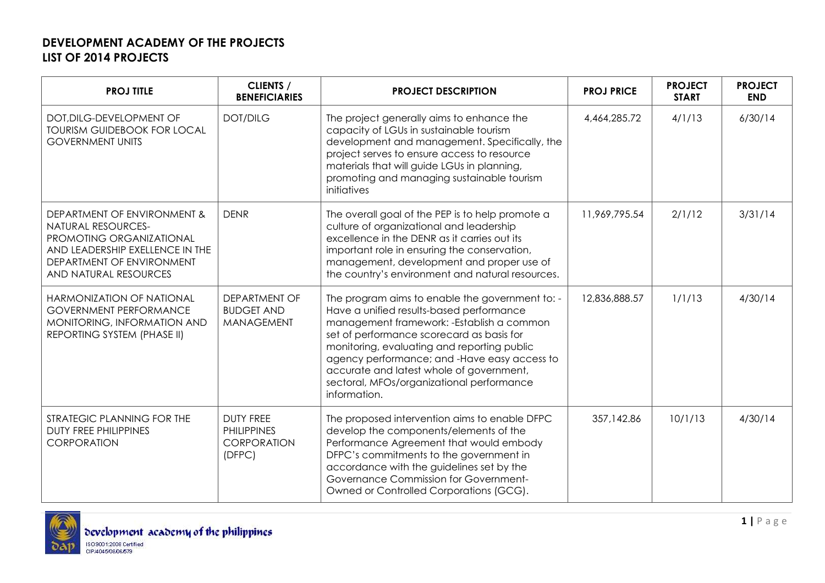| <b>PROJ TITLE</b>                                                                                                                                                             | <b>CLIENTS /</b><br><b>BENEFICIARIES</b>                        | <b>PROJECT DESCRIPTION</b>                                                                                                                                                                                                                                                                                                                                                                     | <b>PROJ PRICE</b> | <b>PROJECT</b><br><b>START</b> | <b>PROJECT</b><br><b>END</b> |
|-------------------------------------------------------------------------------------------------------------------------------------------------------------------------------|-----------------------------------------------------------------|------------------------------------------------------------------------------------------------------------------------------------------------------------------------------------------------------------------------------------------------------------------------------------------------------------------------------------------------------------------------------------------------|-------------------|--------------------------------|------------------------------|
| DOT, DILG-DEVELOPMENT OF<br><b>TOURISM GUIDEBOOK FOR LOCAL</b><br><b>GOVERNMENT UNITS</b>                                                                                     | <b>DOT/DILG</b>                                                 | The project generally aims to enhance the<br>capacity of LGUs in sustainable tourism<br>development and management. Specifically, the<br>project serves to ensure access to resource<br>materials that will guide LGUs in planning,<br>promoting and managing sustainable tourism<br>initiatives                                                                                               | 4,464,285.72      | 4/1/13                         | 6/30/14                      |
| DEPARTMENT OF ENVIRONMENT &<br><b>NATURAL RESOURCES-</b><br>PROMOTING ORGANIZATIONAL<br>AND LEADERSHIP EXELLENCE IN THE<br>DEPARTMENT OF ENVIRONMENT<br>AND NATURAL RESOURCES | <b>DENR</b>                                                     | The overall goal of the PEP is to help promote a<br>culture of organizational and leadership<br>excellence in the DENR as it carries out its<br>important role in ensuring the conservation,<br>management, development and proper use of<br>the country's environment and natural resources.                                                                                                  | 11,969,795.54     | 2/1/12                         | 3/31/14                      |
| HARMONIZATION OF NATIONAL<br><b>GOVERNMENT PERFORMANCE</b><br>MONITORING, INFORMATION AND<br>REPORTING SYSTEM (PHASE II)                                                      | DEPARTMENT OF<br><b>BUDGET AND</b><br><b>MANAGEMENT</b>         | The program aims to enable the government to: -<br>Have a unified results-based performance<br>management framework: - Establish a common<br>set of performance scorecard as basis for<br>monitoring, evaluating and reporting public<br>agency performance; and -Have easy access to<br>accurate and latest whole of government,<br>sectoral, MFOs/organizational performance<br>information. | 12,836,888.57     | 1/1/13                         | 4/30/14                      |
| STRATEGIC PLANNING FOR THE<br><b>DUTY FREE PHILIPPINES</b><br>CORPORATION                                                                                                     | <b>DUTY FREE</b><br><b>PHILIPPINES</b><br>CORPORATION<br>(DFPC) | The proposed intervention aims to enable DFPC<br>develop the components/elements of the<br>Performance Agreement that would embody<br>DFPC's commitments to the government in<br>accordance with the guidelines set by the<br>Governance Commission for Government-<br>Owned or Controlled Corporations (GCG).                                                                                 | 357,142.86        | 10/1/13                        | 4/30/14                      |

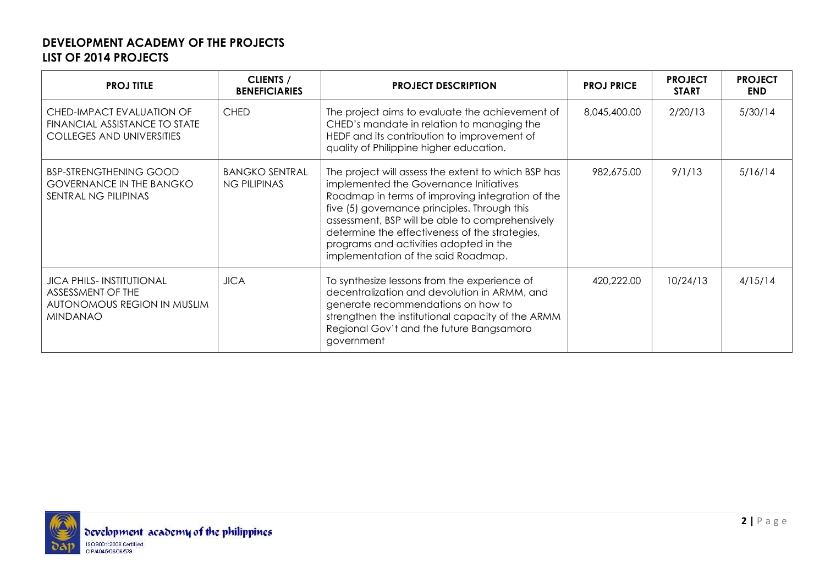| <b>PROJ TITLE</b>                                                                                      | <b>CLIENTS /</b><br><b>BENEFICIARIES</b>     | <b>PROJECT DESCRIPTION</b>                                                                                                                                                                                                                                                                                                                                                              | <b>PROJ PRICE</b> | <b>PROJECT</b><br><b>START</b> | <b>PROJECT</b><br><b>END</b> |
|--------------------------------------------------------------------------------------------------------|----------------------------------------------|-----------------------------------------------------------------------------------------------------------------------------------------------------------------------------------------------------------------------------------------------------------------------------------------------------------------------------------------------------------------------------------------|-------------------|--------------------------------|------------------------------|
| CHED-IMPACT EVALUATION OF<br>FINANCIAL ASSISTANCE TO STATE<br><b>COLLEGES AND UNIVERSITIES</b>         | <b>CHED</b>                                  | The project aims to evaluate the achievement of<br>CHED's mandate in relation to managing the<br>HEDF and its contribution to improvement of<br>quality of Philippine higher education.                                                                                                                                                                                                 | 8,045,400.00      | 2/20/13                        | 5/30/14                      |
| <b>BSP-STRENGTHENING GOOD</b><br><b>GOVERNANCE IN THE BANGKO</b><br>SENTRAL NG PILIPINAS               | <b>BANGKO SENTRAL</b><br><b>NG PILIPINAS</b> | The project will assess the extent to which BSP has<br>implemented the Governance Initiatives<br>Roadmap in terms of improving integration of the<br>five (5) governance principles. Through this<br>assessment, BSP will be able to comprehensively<br>determine the effectiveness of the strategies,<br>programs and activities adopted in the<br>implementation of the said Roadmap. | 982,675.00        | 9/1/13                         | 5/16/14                      |
| <b>JICA PHILS-INSTITUTIONAL</b><br>ASSESSMENT OF THE<br>AUTONOMOUS REGION IN MUSLIM<br><b>MINDANAO</b> | <b>JICA</b>                                  | To synthesize lessons from the experience of<br>decentralization and devolution in ARMM, and<br>generate recommendations on how to<br>strengthen the institutional capacity of the ARMM<br>Regional Gov't and the future Bangsamoro<br>government                                                                                                                                       | 420,222.00        | 10/24/13                       | 4/15/14                      |

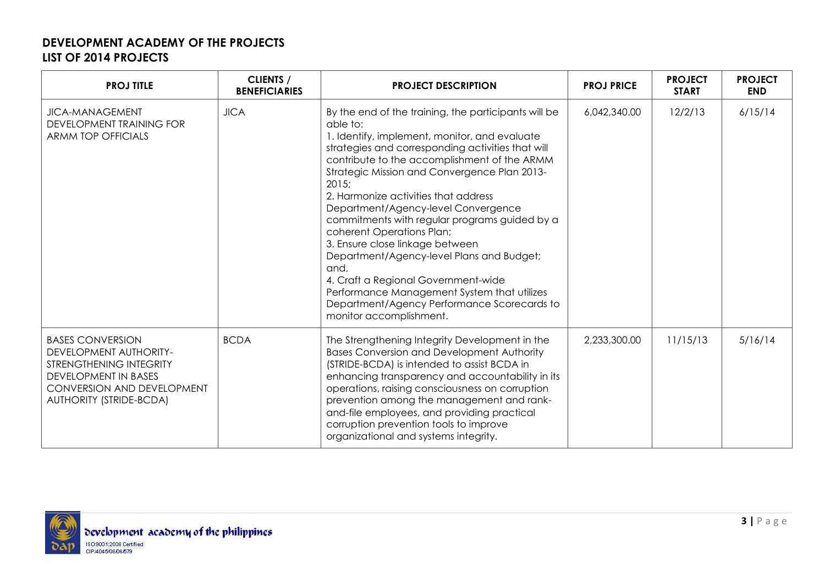| <b>PROJ TITLE</b>                                                                                                                                                           | <b>CLIENTS /</b><br><b>BENEFICIARIES</b> | <b>PROJECT DESCRIPTION</b>                                                                                                                                                                                                                                                                                                                                                                                                                                                                                                                                                                                                                                                                           | <b>PROJ PRICE</b> | <b>PROJECT</b><br><b>START</b> | <b>PROJECT</b><br><b>END</b> |
|-----------------------------------------------------------------------------------------------------------------------------------------------------------------------------|------------------------------------------|------------------------------------------------------------------------------------------------------------------------------------------------------------------------------------------------------------------------------------------------------------------------------------------------------------------------------------------------------------------------------------------------------------------------------------------------------------------------------------------------------------------------------------------------------------------------------------------------------------------------------------------------------------------------------------------------------|-------------------|--------------------------------|------------------------------|
| <b>JICA-MANAGEMENT</b><br><b>DEVELOPMENT TRAINING FOR</b><br><b>ARMM TOP OFFICIALS</b>                                                                                      | <b>JICA</b>                              | By the end of the training, the participants will be<br>able to:<br>1. Identify, implement, monitor, and evaluate<br>strategies and corresponding activities that will<br>contribute to the accomplishment of the ARMM<br>Strategic Mission and Convergence Plan 2013-<br>2015;<br>2. Harmonize activities that address<br>Department/Agency-level Convergence<br>commitments with regular programs guided by a<br>coherent Operations Plan;<br>3. Ensure close linkage between<br>Department/Agency-level Plans and Budget;<br>and,<br>4. Craft a Regional Government-wide<br>Performance Management System that utilizes<br>Department/Agency Performance Scorecards to<br>monitor accomplishment. | 6,042,340.00      | 12/2/13                        | 6/15/14                      |
| <b>BASES CONVERSION</b><br>DEVELOPMENT AUTHORITY-<br>STRENGTHENING INTEGRITY<br><b>DEVELOPMENT IN BASES</b><br>CONVERSION AND DEVELOPMENT<br><b>AUTHORITY (STRIDE-BCDA)</b> | <b>BCDA</b>                              | The Strengthening Integrity Development in the<br><b>Bases Conversion and Development Authority</b><br>(STRIDE-BCDA) is intended to assist BCDA in<br>enhancing transparency and accountability in its<br>operations, raising consciousness on corruption<br>prevention among the management and rank-<br>and-file employees, and providing practical<br>corruption prevention tools to improve<br>organizational and systems integrity.                                                                                                                                                                                                                                                             | 2,233,300.00      | 11/15/13                       | 5/16/14                      |

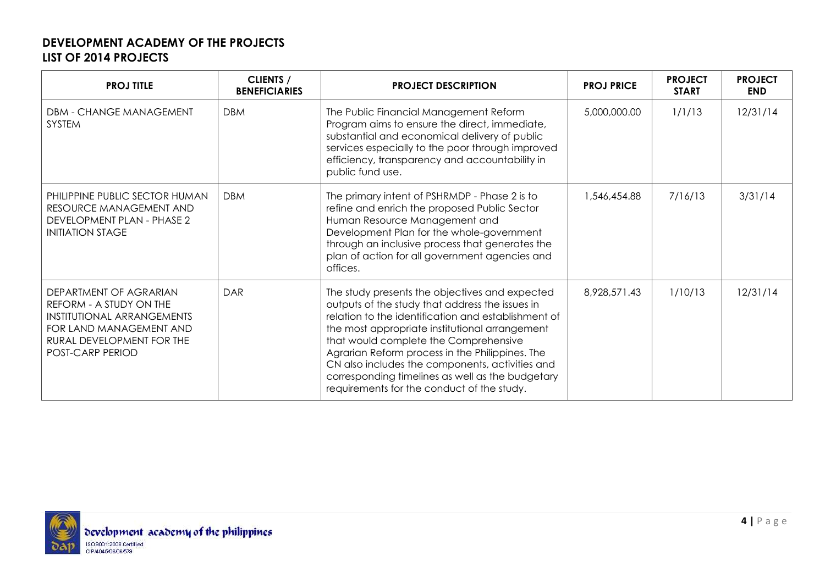| <b>PROJ TITLE</b>                                                                                                                                                  | <b>CLIENTS /</b><br><b>BENEFICIARIES</b> | <b>PROJECT DESCRIPTION</b>                                                                                                                                                                                                                                                                                                                                                                                                                                  | <b>PROJ PRICE</b> | <b>PROJECT</b><br><b>START</b> | <b>PROJECT</b><br><b>END</b> |
|--------------------------------------------------------------------------------------------------------------------------------------------------------------------|------------------------------------------|-------------------------------------------------------------------------------------------------------------------------------------------------------------------------------------------------------------------------------------------------------------------------------------------------------------------------------------------------------------------------------------------------------------------------------------------------------------|-------------------|--------------------------------|------------------------------|
| DBM - CHANGE MANAGEMENT<br><b>SYSTEM</b>                                                                                                                           | <b>DBM</b>                               | The Public Financial Management Reform<br>Program aims to ensure the direct, immediate,<br>substantial and economical delivery of public<br>services especially to the poor through improved<br>efficiency, transparency and accountability in<br>public fund use.                                                                                                                                                                                          | 5,000,000.00      | 1/1/13                         | 12/31/14                     |
| PHILIPPINE PUBLIC SECTOR HUMAN<br>RESOURCE MANAGEMENT AND<br>DEVELOPMENT PLAN - PHASE 2<br><b>INITIATION STAGE</b>                                                 | <b>DBM</b>                               | The primary intent of PSHRMDP - Phase 2 is to<br>refine and enrich the proposed Public Sector<br>Human Resource Management and<br>Development Plan for the whole-government<br>through an inclusive process that generates the<br>plan of action for all government agencies and<br>offices.                                                                                                                                                                | 1,546,454.88      | 7/16/13                        | 3/31/14                      |
| DEPARTMENT OF AGRARIAN<br>REFORM - A STUDY ON THE<br>INSTITUTIONAL ARRANGEMENTS<br>FOR LAND MANAGEMENT AND<br>RURAL DEVELOPMENT FOR THE<br><b>POST-CARP PERIOD</b> | DAR                                      | The study presents the objectives and expected<br>outputs of the study that address the issues in<br>relation to the identification and establishment of<br>the most appropriate institutional arrangement<br>that would complete the Comprehensive<br>Agrarian Reform process in the Philippines. The<br>CN also includes the components, activities and<br>corresponding timelines as well as the budgetary<br>requirements for the conduct of the study. | 8,928,571.43      | 1/10/13                        | 12/31/14                     |

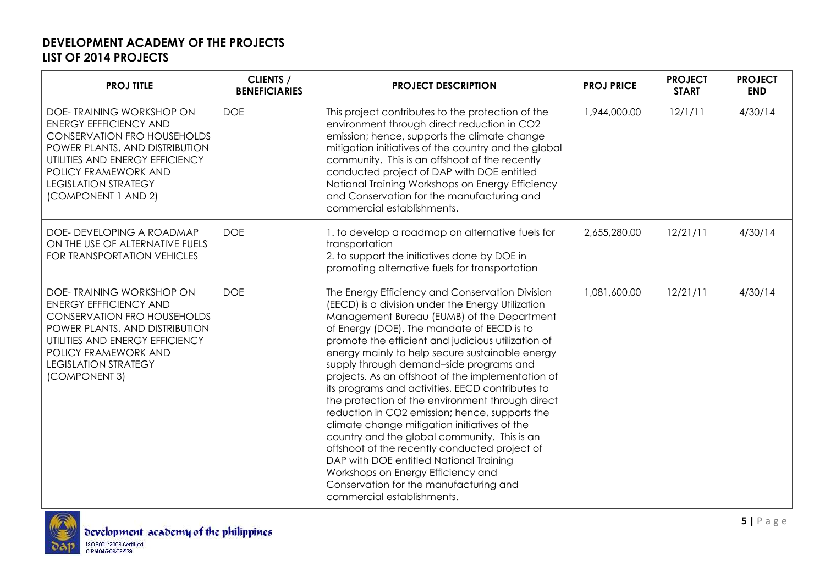| <b>PROJ TITLE</b>                                                                                                                                                                                                                                  | <b>CLIENTS /</b><br><b>BENEFICIARIES</b> | <b>PROJECT DESCRIPTION</b>                                                                                                                                                                                                                                                                                                                                                                                                                                                                                                                                                                                                                                                                                                                                                                                                                                                    | <b>PROJ PRICE</b> | <b>PROJECT</b><br><b>START</b> | <b>PROJECT</b><br><b>END</b> |
|----------------------------------------------------------------------------------------------------------------------------------------------------------------------------------------------------------------------------------------------------|------------------------------------------|-------------------------------------------------------------------------------------------------------------------------------------------------------------------------------------------------------------------------------------------------------------------------------------------------------------------------------------------------------------------------------------------------------------------------------------------------------------------------------------------------------------------------------------------------------------------------------------------------------------------------------------------------------------------------------------------------------------------------------------------------------------------------------------------------------------------------------------------------------------------------------|-------------------|--------------------------------|------------------------------|
| DOE-TRAINING WORKSHOP ON<br><b>ENERGY EFFFICIENCY AND</b><br><b>CONSERVATION FRO HOUSEHOLDS</b><br>POWER PLANTS, AND DISTRIBUTION<br>UTILITIES AND ENERGY EFFICIENCY<br>POLICY FRAMEWORK AND<br><b>LEGISLATION STRATEGY</b><br>(COMPONENT 1 AND 2) | <b>DOE</b>                               | This project contributes to the protection of the<br>environment through direct reduction in CO2<br>emission; hence, supports the climate change<br>mitigation initiatives of the country and the global<br>community. This is an offshoot of the recently<br>conducted project of DAP with DOE entitled<br>National Training Workshops on Energy Efficiency<br>and Conservation for the manufacturing and<br>commercial establishments.                                                                                                                                                                                                                                                                                                                                                                                                                                      | 1,944,000.00      | 12/1/11                        | 4/30/14                      |
| DOE- DEVELOPING A ROADMAP<br>ON THE USE OF ALTERNATIVE FUELS<br><b>FOR TRANSPORTATION VEHICLES</b>                                                                                                                                                 | <b>DOE</b>                               | 1. to develop a roadmap on alternative fuels for<br>transportation<br>2. to support the initiatives done by DOE in<br>promoting alternative fuels for transportation                                                                                                                                                                                                                                                                                                                                                                                                                                                                                                                                                                                                                                                                                                          | 2,655,280.00      | 12/21/11                       | 4/30/14                      |
| DOE- TRAINING WORKSHOP ON<br><b>ENERGY EFFFICIENCY AND</b><br><b>CONSERVATION FRO HOUSEHOLDS</b><br>POWER PLANTS, AND DISTRIBUTION<br>UTILITIES AND ENERGY EFFICIENCY<br>POLICY FRAMEWORK AND<br><b>LEGISLATION STRATEGY</b><br>(COMPONENT 3)      | <b>DOE</b>                               | The Energy Efficiency and Conservation Division<br>(EECD) is a division under the Energy Utilization<br>Management Bureau (EUMB) of the Department<br>of Energy (DOE). The mandate of EECD is to<br>promote the efficient and judicious utilization of<br>energy mainly to help secure sustainable energy<br>supply through demand-side programs and<br>projects. As an offshoot of the implementation of<br>its programs and activities, EECD contributes to<br>the protection of the environment through direct<br>reduction in CO2 emission; hence, supports the<br>climate change mitigation initiatives of the<br>country and the global community. This is an<br>offshoot of the recently conducted project of<br>DAP with DOE entitled National Training<br>Workshops on Energy Efficiency and<br>Conservation for the manufacturing and<br>commercial establishments. | 1,081,600.00      | 12/21/11                       | 4/30/14                      |

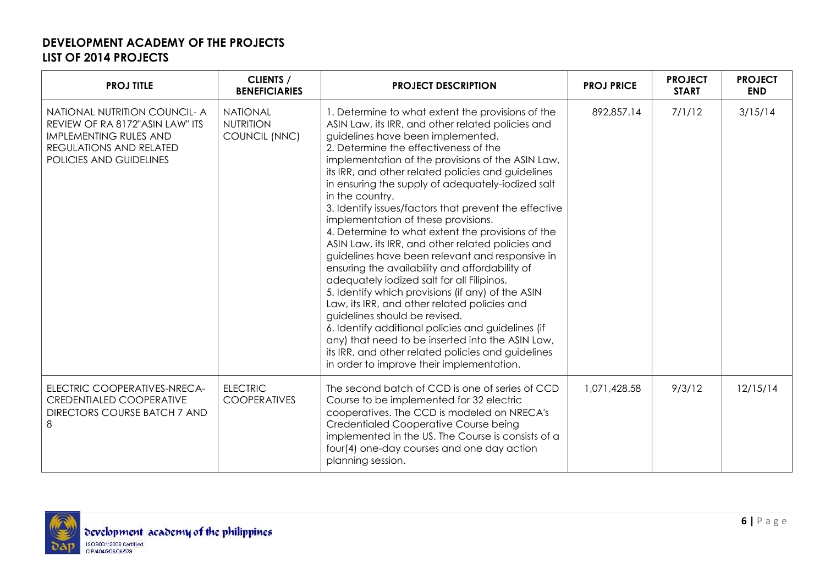| <b>PROJ TITLE</b>                                                                                                                                       | <b>CLIENTS /</b><br><b>BENEFICIARIES</b>             | <b>PROJECT DESCRIPTION</b>                                                                                                                                                                                                                                                                                                                                                                                                                                                                                                                                                                                                                                                                                                                                                                                                                                                                                                                                                                                                                                                              | <b>PROJ PRICE</b> | <b>PROJECT</b><br><b>START</b> | <b>PROJECT</b><br><b>END</b> |
|---------------------------------------------------------------------------------------------------------------------------------------------------------|------------------------------------------------------|-----------------------------------------------------------------------------------------------------------------------------------------------------------------------------------------------------------------------------------------------------------------------------------------------------------------------------------------------------------------------------------------------------------------------------------------------------------------------------------------------------------------------------------------------------------------------------------------------------------------------------------------------------------------------------------------------------------------------------------------------------------------------------------------------------------------------------------------------------------------------------------------------------------------------------------------------------------------------------------------------------------------------------------------------------------------------------------------|-------------------|--------------------------------|------------------------------|
| NATIONAL NUTRITION COUNCIL- A<br>REVIEW OF RA 8172"ASIN LAW" ITS<br><b>IMPLEMENTING RULES AND</b><br>REGULATIONS AND RELATED<br>POLICIES AND GUIDELINES | <b>NATIONAL</b><br><b>NUTRITION</b><br>COUNCIL (NNC) | 1. Determine to what extent the provisions of the<br>ASIN Law, its IRR, and other related policies and<br>guidelines have been implemented.<br>2. Determine the effectiveness of the<br>implementation of the provisions of the ASIN Law,<br>its IRR, and other related policies and guidelines<br>in ensuring the supply of adequately-iodized salt<br>in the country.<br>3. Identify issues/factors that prevent the effective<br>implementation of these provisions.<br>4. Determine to what extent the provisions of the<br>ASIN Law, its IRR, and other related policies and<br>guidelines have been relevant and responsive in<br>ensuring the availability and affordability of<br>adequately iodized salt for all Filipinos.<br>5. Identify which provisions (if any) of the ASIN<br>Law, its IRR, and other related policies and<br>guidelines should be revised.<br>6. Identify additional policies and guidelines (if<br>any) that need to be inserted into the ASIN Law,<br>its IRR, and other related policies and guidelines<br>in order to improve their implementation. | 892,857.14        | 7/1/12                         | 3/15/14                      |
| ELECTRIC COOPERATIVES-NRECA-<br><b>CREDENTIALED COOPERATIVE</b><br><b>DIRECTORS COURSE BATCH 7 AND</b><br>8                                             | <b>ELECTRIC</b><br><b>COOPERATIVES</b>               | The second batch of CCD is one of series of CCD<br>Course to be implemented for 32 electric<br>cooperatives. The CCD is modeled on NRECA's<br>Credentialed Cooperative Course being<br>implemented in the US. The Course is consists of a<br>four(4) one-day courses and one day action<br>planning session.                                                                                                                                                                                                                                                                                                                                                                                                                                                                                                                                                                                                                                                                                                                                                                            | 1,071,428.58      | 9/3/12                         | 12/15/14                     |

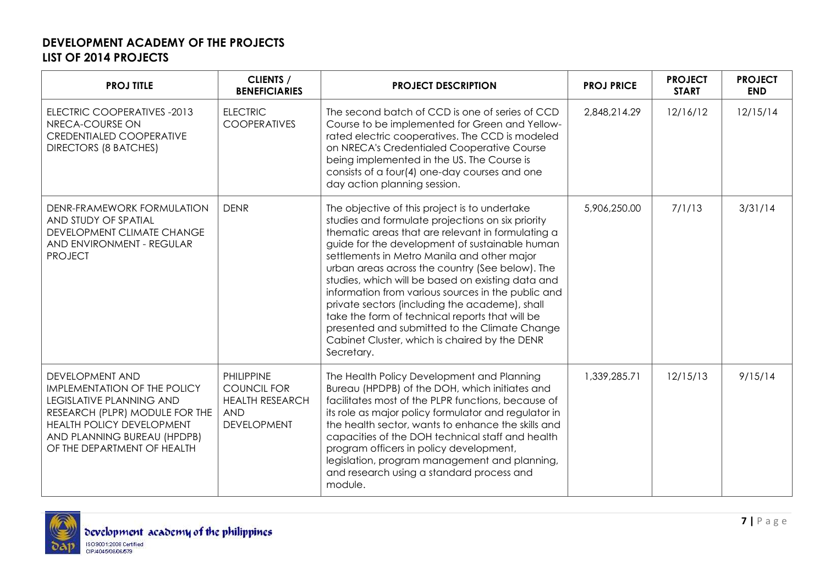| <b>PROJ TITLE</b>                                                                                                                                                                                                             | <b>CLIENTS /</b><br><b>BENEFICIARIES</b>                                                              | <b>PROJECT DESCRIPTION</b>                                                                                                                                                                                                                                                                                                                                                                                                                                                                                                                                                                                                                  | <b>PROJ PRICE</b> | <b>PROJECT</b><br><b>START</b> | <b>PROJECT</b><br><b>END</b> |
|-------------------------------------------------------------------------------------------------------------------------------------------------------------------------------------------------------------------------------|-------------------------------------------------------------------------------------------------------|---------------------------------------------------------------------------------------------------------------------------------------------------------------------------------------------------------------------------------------------------------------------------------------------------------------------------------------------------------------------------------------------------------------------------------------------------------------------------------------------------------------------------------------------------------------------------------------------------------------------------------------------|-------------------|--------------------------------|------------------------------|
| ELECTRIC COOPERATIVES -2013<br>NRECA-COURSE ON<br><b>CREDENTIALED COOPERATIVE</b><br><b>DIRECTORS (8 BATCHES)</b>                                                                                                             | <b>ELECTRIC</b><br><b>COOPERATIVES</b>                                                                | The second batch of CCD is one of series of CCD<br>Course to be implemented for Green and Yellow-<br>rated electric cooperatives. The CCD is modeled<br>on NRECA's Credentialed Cooperative Course<br>being implemented in the US. The Course is<br>consists of a four(4) one-day courses and one<br>day action planning session.                                                                                                                                                                                                                                                                                                           | 2,848,214.29      | 12/16/12                       | 12/15/14                     |
| DENR-FRAMEWORK FORMULATION<br>AND STUDY OF SPATIAL<br>DEVELOPMENT CLIMATE CHANGE<br>AND ENVIRONMENT - REGULAR<br><b>PROJECT</b>                                                                                               | <b>DENR</b>                                                                                           | The objective of this project is to undertake<br>studies and formulate projections on six priority<br>thematic areas that are relevant in formulating a<br>guide for the development of sustainable human<br>settlements in Metro Manila and other major<br>urban areas across the country (See below). The<br>studies, which will be based on existing data and<br>information from various sources in the public and<br>private sectors (including the academe), shall<br>take the form of technical reports that will be<br>presented and submitted to the Climate Change<br>Cabinet Cluster, which is chaired by the DENR<br>Secretary. | 5,906,250.00      | 7/1/13                         | 3/31/14                      |
| <b>DEVELOPMENT AND</b><br><b>IMPLEMENTATION OF THE POLICY</b><br><b>LEGISLATIVE PLANNING AND</b><br>RESEARCH (PLPR) MODULE FOR THE<br>HEALTH POLICY DEVELOPMENT<br>AND PLANNING BUREAU (HPDPB)<br>OF THE DEPARTMENT OF HEALTH | <b>PHILIPPINE</b><br><b>COUNCIL FOR</b><br><b>HEALTH RESEARCH</b><br><b>AND</b><br><b>DEVELOPMENT</b> | The Health Policy Development and Planning<br>Bureau (HPDPB) of the DOH, which initiates and<br>facilitates most of the PLPR functions, because of<br>its role as major policy formulator and regulator in<br>the health sector, wants to enhance the skills and<br>capacities of the DOH technical staff and health<br>program officers in policy development,<br>legislation, program management and planning,<br>and research using a standard process and<br>module.                                                                                                                                                                    | 1,339,285.71      | 12/15/13                       | 9/15/14                      |

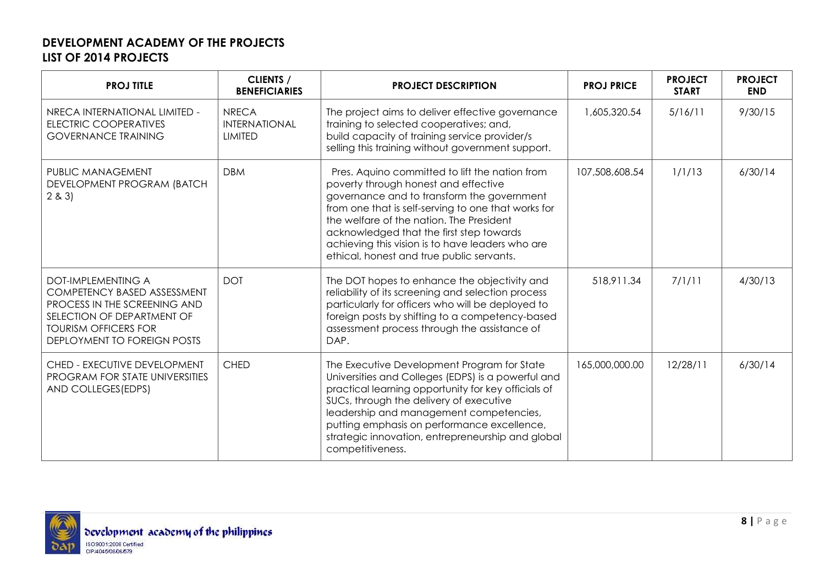| <b>PROJ TITLE</b>                                                                                                                                                                           | <b>CLIENTS /</b><br><b>BENEFICIARIES</b>               | <b>PROJECT DESCRIPTION</b>                                                                                                                                                                                                                                                                                                                                                           | <b>PROJ PRICE</b> | <b>PROJECT</b><br><b>START</b> | <b>PROJECT</b><br><b>END</b> |
|---------------------------------------------------------------------------------------------------------------------------------------------------------------------------------------------|--------------------------------------------------------|--------------------------------------------------------------------------------------------------------------------------------------------------------------------------------------------------------------------------------------------------------------------------------------------------------------------------------------------------------------------------------------|-------------------|--------------------------------|------------------------------|
| NRECA INTERNATIONAL LIMITED -<br>ELECTRIC COOPERATIVES<br><b>GOVERNANCE TRAINING</b>                                                                                                        | <b>NRECA</b><br><b>INTERNATIONAL</b><br><b>LIMITED</b> | The project aims to deliver effective governance<br>training to selected cooperatives; and,<br>build capacity of training service provider/s<br>selling this training without government support.                                                                                                                                                                                    | 1,605,320.54      | 5/16/11                        | 9/30/15                      |
| PUBLIC MANAGEMENT<br>DEVELOPMENT PROGRAM (BATCH<br>2 & 3                                                                                                                                    | <b>DBM</b>                                             | Pres. Aquino committed to lift the nation from<br>poverty through honest and effective<br>governance and to transform the government<br>from one that is self-serving to one that works for<br>the welfare of the nation. The President<br>acknowledged that the first step towards<br>achieving this vision is to have leaders who are<br>ethical, honest and true public servants. | 107,508,608.54    | 1/1/13                         | 6/30/14                      |
| <b>DOT-IMPLEMENTING A</b><br><b>COMPETENCY BASED ASSESSMENT</b><br>PROCESS IN THE SCREENING AND<br>SELECTION OF DEPARTMENT OF<br><b>TOURISM OFFICERS FOR</b><br>DEPLOYMENT TO FOREIGN POSTS | <b>DOT</b>                                             | The DOT hopes to enhance the objectivity and<br>reliability of its screening and selection process<br>particularly for officers who will be deployed to<br>foreign posts by shifting to a competency-based<br>assessment process through the assistance of<br>DAP.                                                                                                                   | 518,911.34        | 7/1/11                         | 4/30/13                      |
| CHED - EXECUTIVE DEVELOPMENT<br>PROGRAM FOR STATE UNIVERSITIES<br>AND COLLEGES (EDPS)                                                                                                       | <b>CHED</b>                                            | The Executive Development Program for State<br>Universities and Colleges (EDPS) is a powerful and<br>practical learning opportunity for key officials of<br>SUCs, through the delivery of executive<br>leadership and management competencies,<br>putting emphasis on performance excellence,<br>strategic innovation, entrepreneurship and global<br>competitiveness.               | 165,000,000.00    | 12/28/11                       | 6/30/14                      |

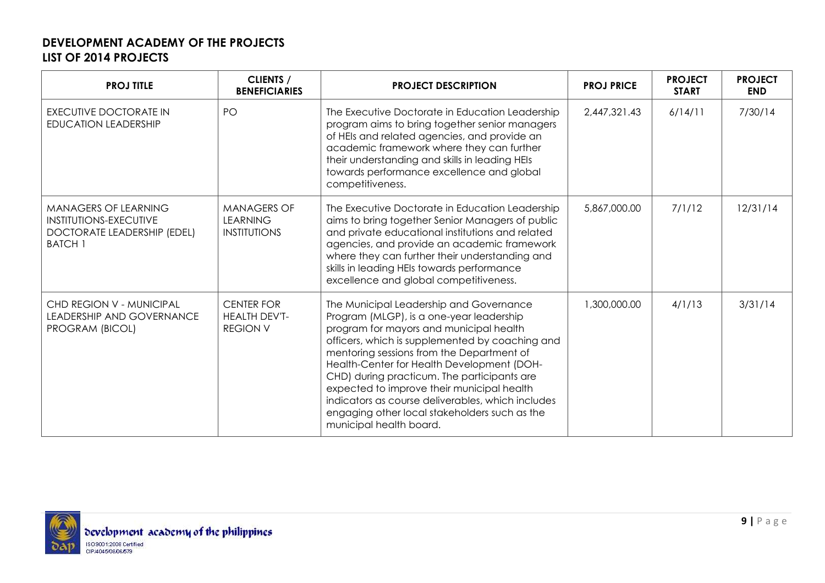| <b>PROJ TITLE</b>                                                                                             | <b>CLIENTS /</b><br><b>BENEFICIARIES</b>                     | <b>PROJECT DESCRIPTION</b>                                                                                                                                                                                                                                                                                                                                                                                                                                                                                 | <b>PROJ PRICE</b> | <b>PROJECT</b><br><b>START</b> | <b>PROJECT</b><br><b>END</b> |
|---------------------------------------------------------------------------------------------------------------|--------------------------------------------------------------|------------------------------------------------------------------------------------------------------------------------------------------------------------------------------------------------------------------------------------------------------------------------------------------------------------------------------------------------------------------------------------------------------------------------------------------------------------------------------------------------------------|-------------------|--------------------------------|------------------------------|
| <b>EXECUTIVE DOCTORATE IN</b><br><b>EDUCATION LEADERSHIP</b>                                                  | PO                                                           | The Executive Doctorate in Education Leadership<br>program aims to bring together senior managers<br>of HEIs and related agencies, and provide an<br>academic framework where they can further<br>their understanding and skills in leading HEIs<br>towards performance excellence and global<br>competitiveness.                                                                                                                                                                                          | 2.447.321.43      | 6/14/11                        | 7/30/14                      |
| <b>MANAGERS OF LEARNING</b><br><b>INSTITUTIONS-EXECUTIVE</b><br>DOCTORATE LEADERSHIP (EDEL)<br><b>BATCH 1</b> | <b>MANAGERS OF</b><br><b>LEARNING</b><br><b>INSTITUTIONS</b> | The Executive Doctorate in Education Leadership<br>aims to bring together Senior Managers of public<br>and private educational institutions and related<br>agencies, and provide an academic framework<br>where they can further their understanding and<br>skills in leading HEIs towards performance<br>excellence and global competitiveness.                                                                                                                                                           | 5,867,000.00      | 7/1/12                         | 12/31/14                     |
| CHD REGION V - MUNICIPAL<br>LEADERSHIP AND GOVERNANCE<br>PROGRAM (BICOL)                                      | <b>CENTER FOR</b><br><b>HEALTH DEV'T-</b><br><b>REGION V</b> | The Municipal Leadership and Governance<br>Program (MLGP), is a one-year leadership<br>program for mayors and municipal health<br>officers, which is supplemented by coaching and<br>mentoring sessions from the Department of<br>Health-Center for Health Development (DOH-<br>CHD) during practicum. The participants are<br>expected to improve their municipal health<br>indicators as course deliverables, which includes<br>engaging other local stakeholders such as the<br>municipal health board. | 1,300,000.00      | 4/1/13                         | 3/31/14                      |

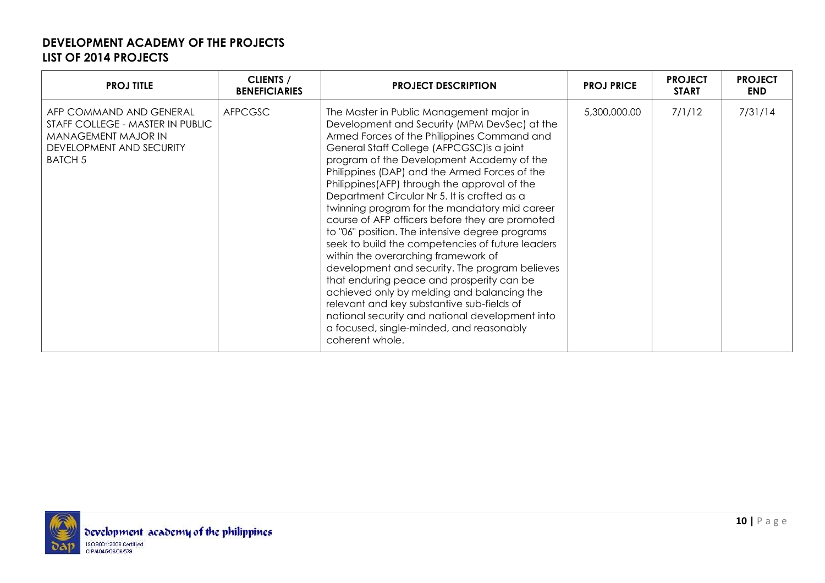| <b>PROJ TITLE</b>                                                                                                                | <b>CLIENTS /</b><br><b>BENEFICIARIES</b> | <b>PROJECT DESCRIPTION</b>                                                                                                                                                                                                                                                                                                                                                                                                                                                                                                                                                                                                                                                                                                                                                                                                                                                                                                                          | <b>PROJ PRICE</b> | <b>PROJECT</b><br><b>START</b> | <b>PROJECT</b><br><b>END</b> |
|----------------------------------------------------------------------------------------------------------------------------------|------------------------------------------|-----------------------------------------------------------------------------------------------------------------------------------------------------------------------------------------------------------------------------------------------------------------------------------------------------------------------------------------------------------------------------------------------------------------------------------------------------------------------------------------------------------------------------------------------------------------------------------------------------------------------------------------------------------------------------------------------------------------------------------------------------------------------------------------------------------------------------------------------------------------------------------------------------------------------------------------------------|-------------------|--------------------------------|------------------------------|
| AFP COMMAND AND GENERAL<br>STAFF COLLEGE - MASTER IN PUBLIC<br>MANAGEMENT MAJOR IN<br>DEVELOPMENT AND SECURITY<br><b>BATCH 5</b> | <b>AFPCGSC</b>                           | The Master in Public Management major in<br>Development and Security (MPM DevSec) at the<br>Armed Forces of the Philippines Command and<br>General Staff College (AFPCGSC) is a joint<br>program of the Development Academy of the<br>Philippines (DAP) and the Armed Forces of the<br>Philippines (AFP) through the approval of the<br>Department Circular Nr 5. It is crafted as a<br>twinning program for the mandatory mid career<br>course of AFP officers before they are promoted<br>to "06" position. The intensive degree programs<br>seek to build the competencies of future leaders<br>within the overarching framework of<br>development and security. The program believes<br>that enduring peace and prosperity can be<br>achieved only by melding and balancing the<br>relevant and key substantive sub-fields of<br>national security and national development into<br>a focused, single-minded, and reasonably<br>coherent whole. | 5,300,000.00      | 7/1/12                         | 7/31/14                      |

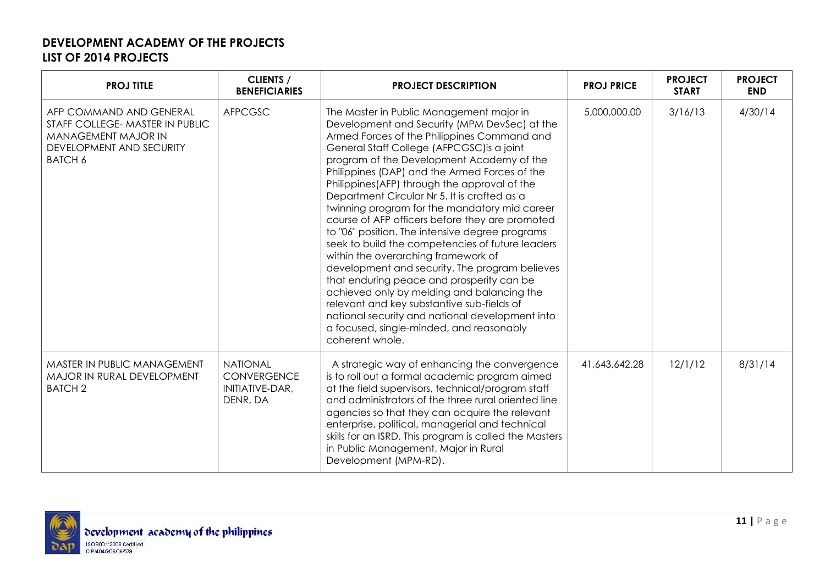| <b>PROJ TITLE</b>                                                                                                               | <b>CLIENTS /</b><br><b>BENEFICIARIES</b>                             | <b>PROJECT DESCRIPTION</b>                                                                                                                                                                                                                                                                                                                                                                                                                                                                                                                                                                                                                                                                                                                                                                                                                                                                                                                          | <b>PROJ PRICE</b> | <b>PROJECT</b><br><b>START</b> | <b>PROJECT</b><br><b>END</b> |
|---------------------------------------------------------------------------------------------------------------------------------|----------------------------------------------------------------------|-----------------------------------------------------------------------------------------------------------------------------------------------------------------------------------------------------------------------------------------------------------------------------------------------------------------------------------------------------------------------------------------------------------------------------------------------------------------------------------------------------------------------------------------------------------------------------------------------------------------------------------------------------------------------------------------------------------------------------------------------------------------------------------------------------------------------------------------------------------------------------------------------------------------------------------------------------|-------------------|--------------------------------|------------------------------|
| AFP COMMAND AND GENERAL<br>STAFF COLLEGE- MASTER IN PUBLIC<br>MANAGEMENT MAJOR IN<br>DEVELOPMENT AND SECURITY<br><b>BATCH 6</b> | <b>AFPCGSC</b>                                                       | The Master in Public Management major in<br>Development and Security (MPM DevSec) at the<br>Armed Forces of the Philippines Command and<br>General Staff College (AFPCGSC) is a joint<br>program of the Development Academy of the<br>Philippines (DAP) and the Armed Forces of the<br>Philippines (AFP) through the approval of the<br>Department Circular Nr 5. It is crafted as a<br>twinning program for the mandatory mid career<br>course of AFP officers before they are promoted<br>to "06" position. The intensive degree programs<br>seek to build the competencies of future leaders<br>within the overarching framework of<br>development and security. The program believes<br>that enduring peace and prosperity can be<br>achieved only by melding and balancing the<br>relevant and key substantive sub-fields of<br>national security and national development into<br>a focused, single-minded, and reasonably<br>coherent whole. | 5,000,000.00      | 3/16/13                        | 4/30/14                      |
| MASTER IN PUBLIC MANAGEMENT<br>MAJOR IN RURAL DEVELOPMENT<br><b>BATCH 2</b>                                                     | <b>NATIONAL</b><br><b>CONVERGENCE</b><br>INITIATIVE-DAR,<br>DENR, DA | A strategic way of enhancing the convergence<br>is to roll out a formal academic program aimed<br>at the field supervisors, technical/program staff<br>and administrators of the three rural oriented line<br>agencies so that they can acquire the relevant<br>enterprise, political, managerial and technical<br>skills for an ISRD. This program is called the Masters<br>in Public Management, Major in Rural<br>Development (MPM-RD).                                                                                                                                                                                                                                                                                                                                                                                                                                                                                                          | 41,643,642.28     | 12/1/12                        | 8/31/14                      |

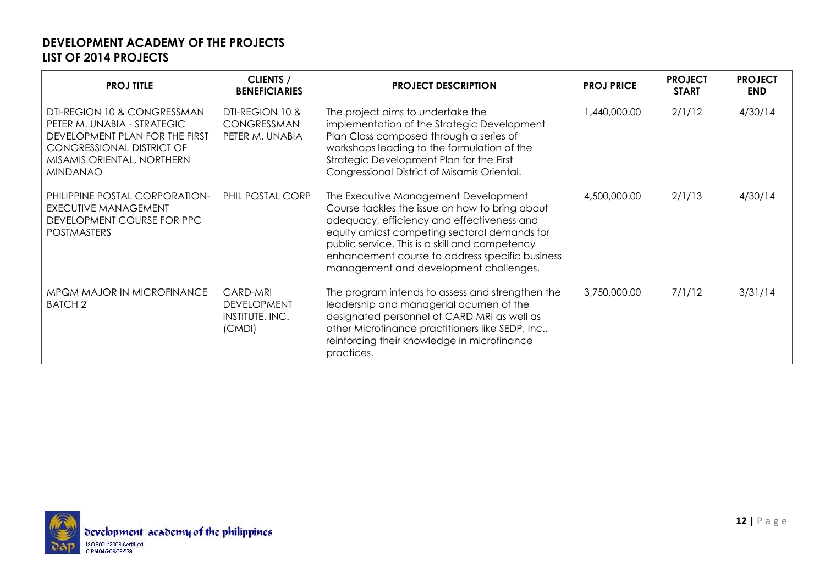| <b>PROJ TITLE</b>                                                                                                                                                                 | <b>CLIENTS /</b><br><b>BENEFICIARIES</b>                    | <b>PROJECT DESCRIPTION</b>                                                                                                                                                                                                                                                                                                          | <b>PROJ PRICE</b> | <b>PROJECT</b><br><b>START</b> | <b>PROJECT</b><br><b>END</b> |
|-----------------------------------------------------------------------------------------------------------------------------------------------------------------------------------|-------------------------------------------------------------|-------------------------------------------------------------------------------------------------------------------------------------------------------------------------------------------------------------------------------------------------------------------------------------------------------------------------------------|-------------------|--------------------------------|------------------------------|
| DTI-REGION 10 & CONGRESSMAN<br>PETER M. UNABIA - STRATEGIC<br>DEVELOPMENT PLAN FOR THE FIRST<br><b>CONGRESSIONAL DISTRICT OF</b><br>MISAMIS ORIENTAL, NORTHERN<br><b>MINDANAO</b> | DTI-REGION 10 &<br>CONGRESSMAN<br>PETER M. UNABIA           | The project aims to undertake the<br>implementation of the Strategic Development<br>Plan Class composed through a series of<br>workshops leading to the formulation of the<br>Strategic Development Plan for the First<br>Congressional District of Misamis Oriental.                                                               | 1,440,000.00      | 2/1/12                         | 4/30/14                      |
| PHILIPPINE POSTAL CORPORATION-<br><b>EXECUTIVE MANAGEMENT</b><br>DEVELOPMENT COURSE FOR PPC<br><b>POSTMASTERS</b>                                                                 | PHIL POSTAL CORP                                            | The Executive Management Development<br>Course tackles the issue on how to bring about<br>adequacy, efficiency and effectiveness and<br>equity amidst competing sectoral demands for<br>public service. This is a skill and competency<br>enhancement course to address specific business<br>management and development challenges. | 4,500,000.00      | 2/1/13                         | 4/30/14                      |
| MPQM MAJOR IN MICROFINANCE<br><b>BATCH 2</b>                                                                                                                                      | CARD-MRI<br><b>DEVELOPMENT</b><br>INSTITUTE, INC.<br>(CMDI) | The program intends to assess and strengthen the<br>leadership and managerial acumen of the<br>designated personnel of CARD MRI as well as<br>other Microfinance practitioners like SEDP, Inc.,<br>reinforcing their knowledge in microfinance<br>practices.                                                                        | 3,750,000.00      | 7/1/12                         | 3/31/14                      |

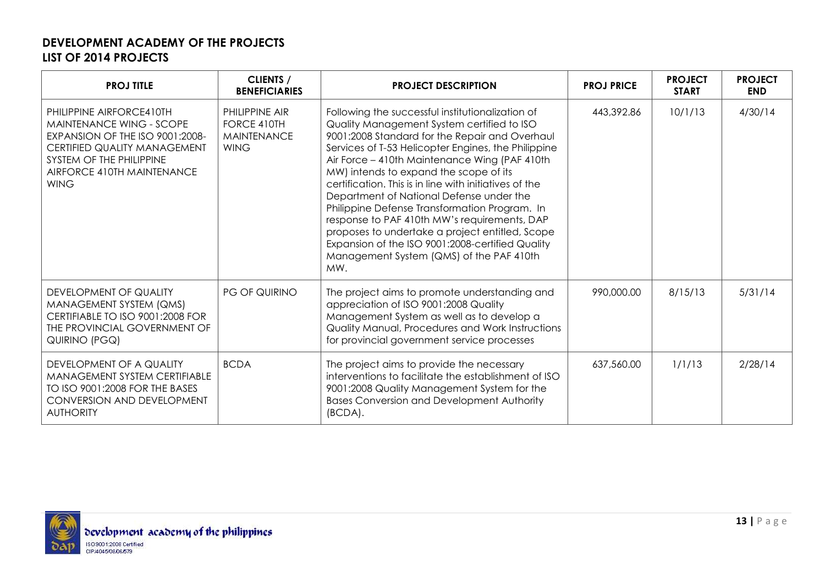| <b>PROJ TITLE</b>                                                                                                                                                                                | <b>CLIENTS /</b><br><b>BENEFICIARIES</b>                           | <b>PROJECT DESCRIPTION</b>                                                                                                                                                                                                                                                                                                                                                                                                                                                                                                                                                                                                                                          | <b>PROJ PRICE</b> | <b>PROJECT</b><br><b>START</b> | <b>PROJECT</b><br><b>END</b> |
|--------------------------------------------------------------------------------------------------------------------------------------------------------------------------------------------------|--------------------------------------------------------------------|---------------------------------------------------------------------------------------------------------------------------------------------------------------------------------------------------------------------------------------------------------------------------------------------------------------------------------------------------------------------------------------------------------------------------------------------------------------------------------------------------------------------------------------------------------------------------------------------------------------------------------------------------------------------|-------------------|--------------------------------|------------------------------|
| PHILIPPINE AIRFORCE410TH<br>MAINTENANCE WING - SCOPE<br>EXPANSION OF THE ISO 9001:2008-<br>CERTIFIED QUALITY MANAGEMENT<br>SYSTEM OF THE PHILIPPINE<br>AIRFORCE 410TH MAINTENANCE<br><b>WING</b> | PHILIPPINE AIR<br>FORCE 410TH<br><b>MAINTENANCE</b><br><b>WING</b> | Following the successful institutionalization of<br>Quality Management System certified to ISO<br>9001:2008 Standard for the Repair and Overhaul<br>Services of T-53 Helicopter Engines, the Philippine<br>Air Force - 410th Maintenance Wing (PAF 410th<br>MW) intends to expand the scope of its<br>certification. This is in line with initiatives of the<br>Department of National Defense under the<br>Philippine Defense Transformation Program. In<br>response to PAF 410th MW's requirements, DAP<br>proposes to undertake a project entitled, Scope<br>Expansion of the ISO 9001:2008-certified Quality<br>Management System (QMS) of the PAF 410th<br>MW. | 443,392.86        | 10/1/13                        | 4/30/14                      |
| DEVELOPMENT OF QUALITY<br>MANAGEMENT SYSTEM (QMS)<br>CERTIFIABLE TO ISO 9001:2008 FOR<br>THE PROVINCIAL GOVERNMENT OF<br>QUIRINO (PGQ)                                                           | PG OF QUIRINO                                                      | The project aims to promote understanding and<br>appreciation of ISO 9001:2008 Quality<br>Management System as well as to develop a<br>Quality Manual, Procedures and Work Instructions<br>for provincial government service processes                                                                                                                                                                                                                                                                                                                                                                                                                              | 990,000.00        | 8/15/13                        | 5/31/14                      |
| DEVELOPMENT OF A QUALITY<br>MANAGEMENT SYSTEM CERTIFIABLE<br>TO ISO 9001:2008 FOR THE BASES<br>CONVERSION AND DEVELOPMENT<br><b>AUTHORITY</b>                                                    | <b>BCDA</b>                                                        | The project aims to provide the necessary<br>interventions to facilitate the establishment of ISO<br>9001:2008 Quality Management System for the<br><b>Bases Conversion and Development Authority</b><br>(BCDA).                                                                                                                                                                                                                                                                                                                                                                                                                                                    | 637,560.00        | 1/1/13                         | 2/28/14                      |

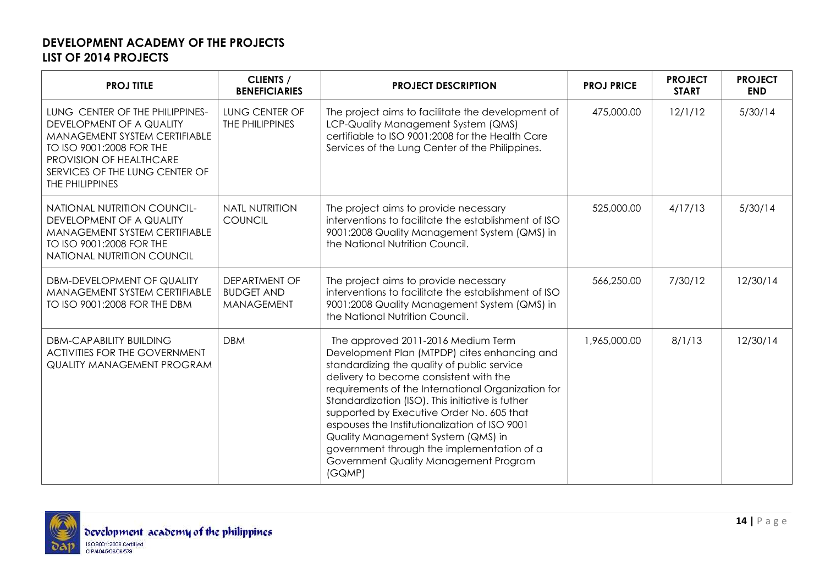| <b>PROJ TITLE</b>                                                                                                                                                                                        | <b>CLIENTS /</b><br><b>BENEFICIARIES</b>                       | <b>PROJECT DESCRIPTION</b>                                                                                                                                                                                                                                                                                                                                                                                                                                                                                                 | <b>PROJ PRICE</b> | <b>PROJECT</b><br><b>START</b> | <b>PROJECT</b><br><b>END</b> |
|----------------------------------------------------------------------------------------------------------------------------------------------------------------------------------------------------------|----------------------------------------------------------------|----------------------------------------------------------------------------------------------------------------------------------------------------------------------------------------------------------------------------------------------------------------------------------------------------------------------------------------------------------------------------------------------------------------------------------------------------------------------------------------------------------------------------|-------------------|--------------------------------|------------------------------|
| LUNG CENTER OF THE PHILIPPINES-<br>DEVELOPMENT OF A QUALITY<br>MANAGEMENT SYSTEM CERTIFIABLE<br>TO ISO 9001:2008 FOR THE<br>PROVISION OF HEALTHCARE<br>SERVICES OF THE LUNG CENTER OF<br>THE PHILIPPINES | LUNG CENTER OF<br>THE PHILIPPINES                              | The project aims to facilitate the development of<br>LCP-Quality Management System (QMS)<br>certifiable to ISO 9001:2008 for the Health Care<br>Services of the Lung Center of the Philippines.                                                                                                                                                                                                                                                                                                                            | 475,000.00        | 12/1/12                        | 5/30/14                      |
| <b>NATIONAL NUTRITION COUNCIL-</b><br>DEVELOPMENT OF A QUALITY<br>MANAGEMENT SYSTEM CERTIFIABLE<br>TO ISO 9001:2008 FOR THE<br>NATIONAL NUTRITION COUNCIL                                                | <b>NATL NUTRITION</b><br><b>COUNCIL</b>                        | The project aims to provide necessary<br>interventions to facilitate the establishment of ISO<br>9001:2008 Quality Management System (QMS) in<br>the National Nutrition Council.                                                                                                                                                                                                                                                                                                                                           | 525,000.00        | 4/17/13                        | 5/30/14                      |
| DBM-DEVELOPMENT OF QUALITY<br>MANAGEMENT SYSTEM CERTIFIABLE<br>TO ISO 9001:2008 FOR THE DBM                                                                                                              | <b>DEPARTMENT OF</b><br><b>BUDGET AND</b><br><b>MANAGEMENT</b> | The project aims to provide necessary<br>interventions to facilitate the establishment of ISO<br>9001:2008 Quality Management System (QMS) in<br>the National Nutrition Council.                                                                                                                                                                                                                                                                                                                                           | 566,250.00        | 7/30/12                        | 12/30/14                     |
| <b>DBM-CAPABILITY BUILDING</b><br><b>ACTIVITIES FOR THE GOVERNMENT</b><br><b>QUALITY MANAGEMENT PROGRAM</b>                                                                                              | <b>DBM</b>                                                     | The approved 2011-2016 Medium Term<br>Development Plan (MTPDP) cites enhancing and<br>standardizing the quality of public service<br>delivery to become consistent with the<br>requirements of the International Organization for<br>Standardization (ISO). This initiative is futher<br>supported by Executive Order No. 605 that<br>espouses the Institutionalization of ISO 9001<br>Quality Management System (QMS) in<br>government through the implementation of a<br>Government Quality Management Program<br>(GQMP) | 1,965,000.00      | 8/1/13                         | 12/30/14                     |

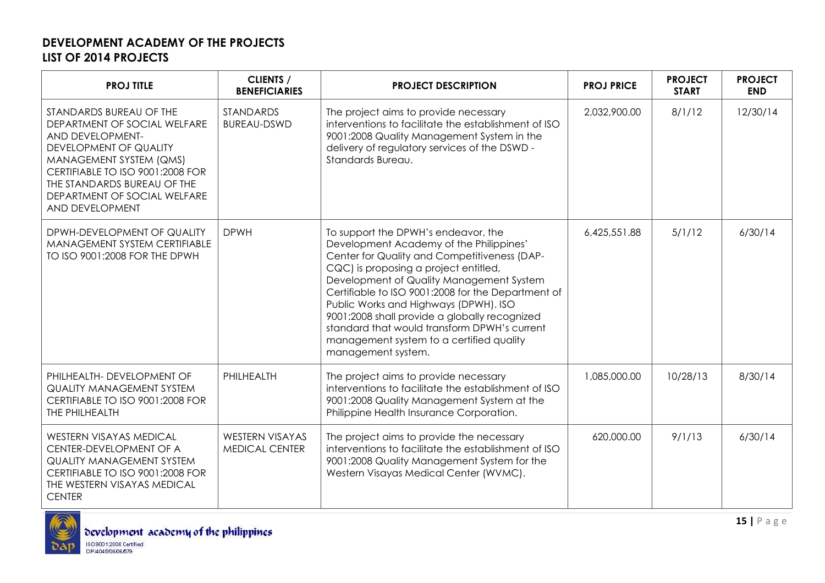| <b>PROJ TITLE</b>                                                                                                                                                                                                                                      | <b>CLIENTS /</b><br><b>BENEFICIARIES</b>        | <b>PROJECT DESCRIPTION</b>                                                                                                                                                                                                                                                                                                                                                                                                                                                            | <b>PROJ PRICE</b> | <b>PROJECT</b><br><b>START</b> | <b>PROJECT</b><br><b>END</b> |
|--------------------------------------------------------------------------------------------------------------------------------------------------------------------------------------------------------------------------------------------------------|-------------------------------------------------|---------------------------------------------------------------------------------------------------------------------------------------------------------------------------------------------------------------------------------------------------------------------------------------------------------------------------------------------------------------------------------------------------------------------------------------------------------------------------------------|-------------------|--------------------------------|------------------------------|
| STANDARDS BUREAU OF THE<br>DEPARTMENT OF SOCIAL WELFARE<br>AND DEVELOPMENT-<br>DEVELOPMENT OF QUALITY<br>MANAGEMENT SYSTEM (QMS)<br>CERTIFIABLE TO ISO 9001:2008 FOR<br>THE STANDARDS BUREAU OF THE<br>DEPARTMENT OF SOCIAL WELFARE<br>AND DEVELOPMENT | <b>STANDARDS</b><br><b>BUREAU-DSWD</b>          | The project aims to provide necessary<br>interventions to facilitate the establishment of ISO<br>9001:2008 Quality Management System in the<br>delivery of regulatory services of the DSWD -<br>Standards Bureau.                                                                                                                                                                                                                                                                     | 2,032,900.00      | 8/1/12                         | 12/30/14                     |
| DPWH-DEVELOPMENT OF QUALITY<br>MANAGEMENT SYSTEM CERTIFIABLE<br>TO ISO 9001:2008 FOR THE DPWH                                                                                                                                                          | <b>DPWH</b>                                     | To support the DPWH's endeavor, the<br>Development Academy of the Philippines'<br>Center for Quality and Competitiveness (DAP-<br>CQC) is proposing a project entitled,<br>Development of Quality Management System<br>Certifiable to ISO 9001:2008 for the Department of<br>Public Works and Highways (DPWH). ISO<br>9001:2008 shall provide a globally recognized<br>standard that would transform DPWH's current<br>management system to a certified quality<br>management system. | 6,425,551.88      | 5/1/12                         | 6/30/14                      |
| PHILHEALTH- DEVELOPMENT OF<br><b>QUALITY MANAGEMENT SYSTEM</b><br>CERTIFIABLE TO ISO 9001:2008 FOR<br>THE PHILHEALTH                                                                                                                                   | PHILHEALTH                                      | The project aims to provide necessary<br>interventions to facilitate the establishment of ISO<br>9001:2008 Quality Management System at the<br>Philippine Health Insurance Corporation.                                                                                                                                                                                                                                                                                               | 1,085,000.00      | 10/28/13                       | 8/30/14                      |
| <b>WESTERN VISAYAS MEDICAL</b><br>CENTER-DEVELOPMENT OF A<br><b>QUALITY MANAGEMENT SYSTEM</b><br>CERTIFIABLE TO ISO 9001:2008 FOR<br>THE WESTERN VISAYAS MEDICAL<br><b>CENTER</b>                                                                      | <b>WESTERN VISAYAS</b><br><b>MEDICAL CENTER</b> | The project aims to provide the necessary<br>interventions to facilitate the establishment of ISO<br>9001:2008 Quality Management System for the<br>Western Visayas Medical Center (WVMC).                                                                                                                                                                                                                                                                                            | 620,000.00        | 9/1/13                         | 6/30/14                      |

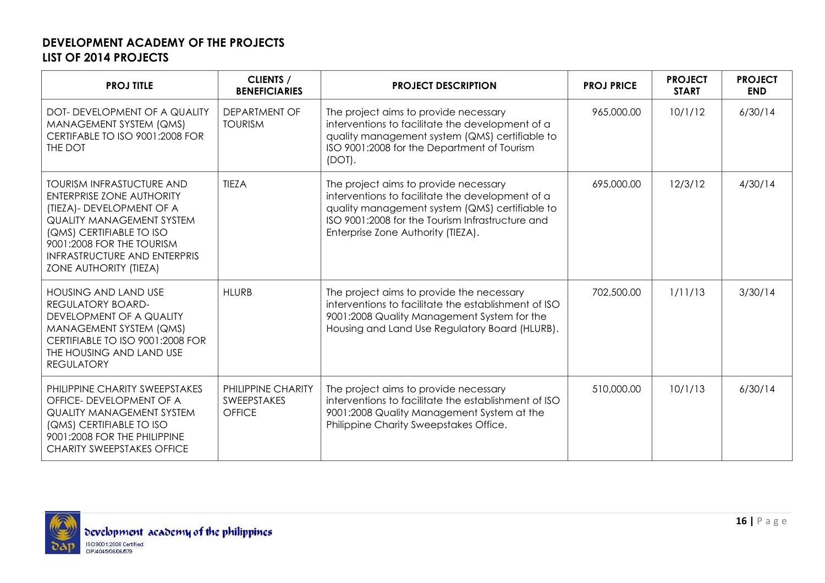| <b>PROJ TITLE</b>                                                                                                                                                                                                                                                       | <b>CLIENTS /</b><br><b>BENEFICIARIES</b>                  | <b>PROJECT DESCRIPTION</b>                                                                                                                                                                                                            | <b>PROJ PRICE</b> | <b>PROJECT</b><br><b>START</b> | <b>PROJECT</b><br><b>END</b> |
|-------------------------------------------------------------------------------------------------------------------------------------------------------------------------------------------------------------------------------------------------------------------------|-----------------------------------------------------------|---------------------------------------------------------------------------------------------------------------------------------------------------------------------------------------------------------------------------------------|-------------------|--------------------------------|------------------------------|
| DOT- DEVELOPMENT OF A QUALITY<br>MANAGEMENT SYSTEM (QMS)<br>CERTIFABLE TO ISO 9001:2008 FOR<br>THE DOT                                                                                                                                                                  | <b>DEPARTMENT OF</b><br><b>TOURISM</b>                    | The project aims to provide necessary<br>interventions to facilitate the development of a<br>quality management system (QMS) certifiable to<br>ISO 9001:2008 for the Department of Tourism<br>$(DOT)$ .                               | 965,000.00        | 10/1/12                        | 6/30/14                      |
| <b>TOURISM INFRASTUCTURE AND</b><br><b>ENTERPRISE ZONE AUTHORITY</b><br>(TIEZA) - DEVELOPMENT OF A<br><b>QUALITY MANAGEMENT SYSTEM</b><br>(QMS) CERTIFIABLE TO ISO<br>9001:2008 FOR THE TOURISM<br><b>INFRASTRUCTURE AND ENTERPRIS</b><br><b>ZONE AUTHORITY (TIEZA)</b> | <b>TIEZA</b>                                              | The project aims to provide necessary<br>interventions to facilitate the development of a<br>quality management system (QMS) certifiable to<br>ISO 9001:2008 for the Tourism Infrastructure and<br>Enterprise Zone Authority (TIEZA). | 695,000.00        | 12/3/12                        | 4/30/14                      |
| <b>HOUSING AND LAND USE</b><br>REGULATORY BOARD-<br>DEVELOPMENT OF A QUALITY<br>MANAGEMENT SYSTEM (QMS)<br>CERTIFIABLE TO ISO 9001:2008 FOR<br>THE HOUSING AND LAND USE<br><b>REGULATORY</b>                                                                            | <b>HLURB</b>                                              | The project aims to provide the necessary<br>interventions to facilitate the establishment of ISO<br>9001:2008 Quality Management System for the<br>Housing and Land Use Regulatory Board (HLURB).                                    | 702,500.00        | 1/11/13                        | 3/30/14                      |
| PHILIPPINE CHARITY SWEEPSTAKES<br>OFFICE- DEVELOPMENT OF A<br><b>QUALITY MANAGEMENT SYSTEM</b><br>(QMS) CERTIFIABLE TO ISO<br>9001:2008 FOR THE PHILIPPINE<br><b>CHARITY SWEEPSTAKES OFFICE</b>                                                                         | PHILIPPINE CHARITY<br><b>SWEEPSTAKES</b><br><b>OFFICE</b> | The project aims to provide necessary<br>interventions to facilitate the establishment of ISO<br>9001:2008 Quality Management System at the<br>Philippine Charity Sweepstakes Office.                                                 | 510,000.00        | 10/1/13                        | 6/30/14                      |

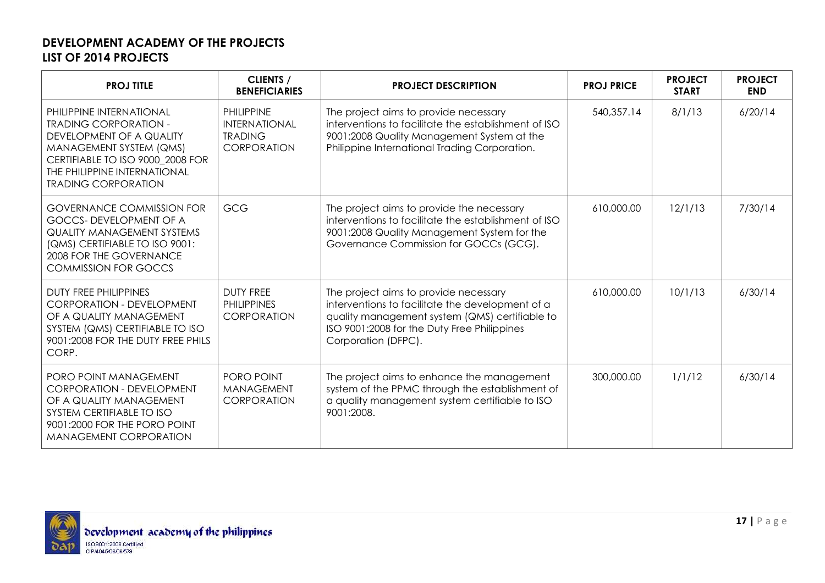| <b>PROJ TITLE</b>                                                                                                                                                                                                 | CLIENTS /<br><b>BENEFICIARIES</b>                                                 | <b>PROJECT DESCRIPTION</b>                                                                                                                                                                                        | <b>PROJ PRICE</b> | <b>PROJECT</b><br><b>START</b> | <b>PROJECT</b><br><b>END</b> |
|-------------------------------------------------------------------------------------------------------------------------------------------------------------------------------------------------------------------|-----------------------------------------------------------------------------------|-------------------------------------------------------------------------------------------------------------------------------------------------------------------------------------------------------------------|-------------------|--------------------------------|------------------------------|
| PHILIPPINE INTERNATIONAL<br><b>TRADING CORPORATION -</b><br>DEVELOPMENT OF A QUALITY<br>MANAGEMENT SYSTEM (QMS)<br>CERTIFIABLE TO ISO 9000 2008 FOR<br>THE PHILIPPINE INTERNATIONAL<br><b>TRADING CORPORATION</b> | <b>PHILIPPINE</b><br><b>INTERNATIONAL</b><br><b>TRADING</b><br><b>CORPORATION</b> | The project aims to provide necessary<br>interventions to facilitate the establishment of ISO<br>9001:2008 Quality Management System at the<br>Philippine International Trading Corporation.                      | 540,357.14        | 8/1/13                         | 6/20/14                      |
| <b>GOVERNANCE COMMISSION FOR</b><br><b>GOCCS-DEVELOPMENT OF A</b><br><b>QUALITY MANAGEMENT SYSTEMS</b><br>(QMS) CERTIFIABLE TO ISO 9001:<br>2008 FOR THE GOVERNANCE<br><b>COMMISSION FOR GOCCS</b>                | <b>GCG</b>                                                                        | The project aims to provide the necessary<br>interventions to facilitate the establishment of ISO<br>9001:2008 Quality Management System for the<br>Governance Commission for GOCCs (GCG).                        | 610,000.00        | 12/1/13                        | 7/30/14                      |
| <b>DUTY FREE PHILIPPINES</b><br><b>CORPORATION - DEVELOPMENT</b><br>OF A QUALITY MANAGEMENT<br>SYSTEM (QMS) CERTIFIABLE TO ISO<br>9001:2008 FOR THE DUTY FREE PHILS<br>CORP.                                      | <b>DUTY FREE</b><br><b>PHILIPPINES</b><br><b>CORPORATION</b>                      | The project aims to provide necessary<br>interventions to facilitate the development of a<br>quality management system (QMS) certifiable to<br>ISO 9001:2008 for the Duty Free Philippines<br>Corporation (DFPC). | 610,000.00        | 10/1/13                        | 6/30/14                      |
| <b>PORO POINT MANAGEMENT</b><br><b>CORPORATION - DEVELOPMENT</b><br>OF A QUALITY MANAGEMENT<br>SYSTEM CERTIFIABLE TO ISO<br>9001:2000 FOR THE PORO POINT<br><b>MANAGEMENT CORPORATION</b>                         | PORO POINT<br><b>MANAGEMENT</b><br><b>CORPORATION</b>                             | The project aims to enhance the management<br>system of the PPMC through the establishment of<br>a quality management system certifiable to ISO<br>9001:2008.                                                     | 300,000.00        | 1/1/12                         | 6/30/14                      |

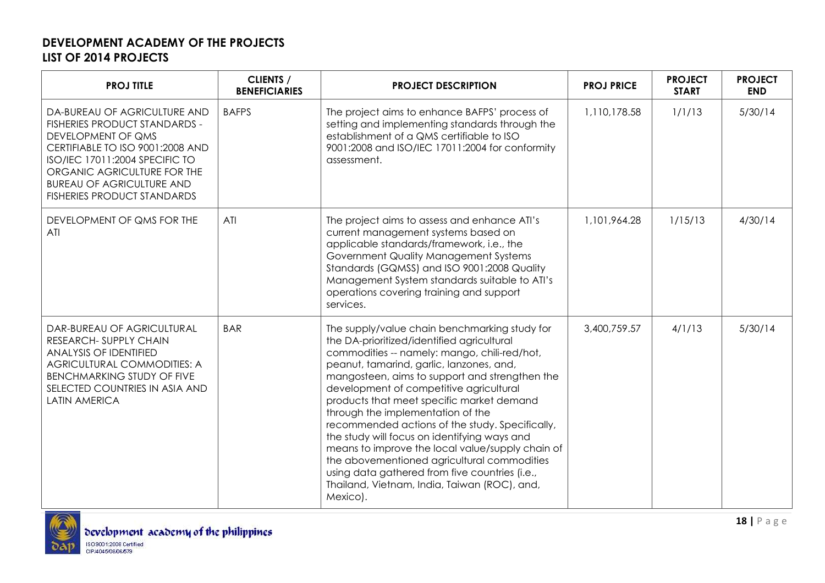| <b>PROJ TITLE</b>                                                                                                                                                                                                                                                         | <b>CLIENTS /</b><br><b>BENEFICIARIES</b> | <b>PROJECT DESCRIPTION</b>                                                                                                                                                                                                                                                                                                                                                                                                                                                                                                                                                                                                                                                                 | <b>PROJ PRICE</b> | <b>PROJECT</b><br><b>START</b> | <b>PROJECT</b><br><b>END</b> |
|---------------------------------------------------------------------------------------------------------------------------------------------------------------------------------------------------------------------------------------------------------------------------|------------------------------------------|--------------------------------------------------------------------------------------------------------------------------------------------------------------------------------------------------------------------------------------------------------------------------------------------------------------------------------------------------------------------------------------------------------------------------------------------------------------------------------------------------------------------------------------------------------------------------------------------------------------------------------------------------------------------------------------------|-------------------|--------------------------------|------------------------------|
| DA-BUREAU OF AGRICULTURE AND<br><b>FISHERIES PRODUCT STANDARDS -</b><br>DEVELOPMENT OF QMS<br>CERTIFIABLE TO ISO 9001:2008 AND<br>ISO/IEC 17011:2004 SPECIFIC TO<br>ORGANIC AGRICULTURE FOR THE<br><b>BUREAU OF AGRICULTURE AND</b><br><b>FISHERIES PRODUCT STANDARDS</b> | <b>BAFPS</b>                             | The project aims to enhance BAFPS' process of<br>setting and implementing standards through the<br>establishment of a QMS certifiable to ISO<br>9001:2008 and ISO/IEC 17011:2004 for conformity<br>assessment.                                                                                                                                                                                                                                                                                                                                                                                                                                                                             | 1,110,178.58      | 1/1/13                         | 5/30/14                      |
| DEVELOPMENT OF QMS FOR THE<br>ATI                                                                                                                                                                                                                                         | ATI                                      | The project aims to assess and enhance ATI's<br>current management systems based on<br>applicable standards/framework, i.e., the<br>Government Quality Management Systems<br>Standards (GQMSS) and ISO 9001:2008 Quality<br>Management System standards suitable to ATI's<br>operations covering training and support<br>services.                                                                                                                                                                                                                                                                                                                                                         | 1,101,964.28      | 1/15/13                        | 4/30/14                      |
| DAR-BUREAU OF AGRICULTURAL<br>RESEARCH- SUPPLY CHAIN<br><b>ANALYSIS OF IDENTIFIED</b><br>AGRICULTURAL COMMODITIES: A<br><b>BENCHMARKING STUDY OF FIVE</b><br>SELECTED COUNTRIES IN ASIA AND<br><b>LATIN AMERICA</b>                                                       | <b>BAR</b>                               | The supply/value chain benchmarking study for<br>the DA-prioritized/identified agricultural<br>commodities -- namely: mango, chili-red/hot,<br>peanut, tamarind, garlic, lanzones, and,<br>mangosteen, aims to support and strengthen the<br>development of competitive agricultural<br>products that meet specific market demand<br>through the implementation of the<br>recommended actions of the study. Specifically,<br>the study will focus on identifying ways and<br>means to improve the local value/supply chain of<br>the abovementioned agricultural commodities<br>using data gathered from five countries (i.e.,<br>Thailand, Vietnam, India, Taiwan (ROC), and,<br>Mexico). | 3,400,759.57      | 4/1/13                         | 5/30/14                      |

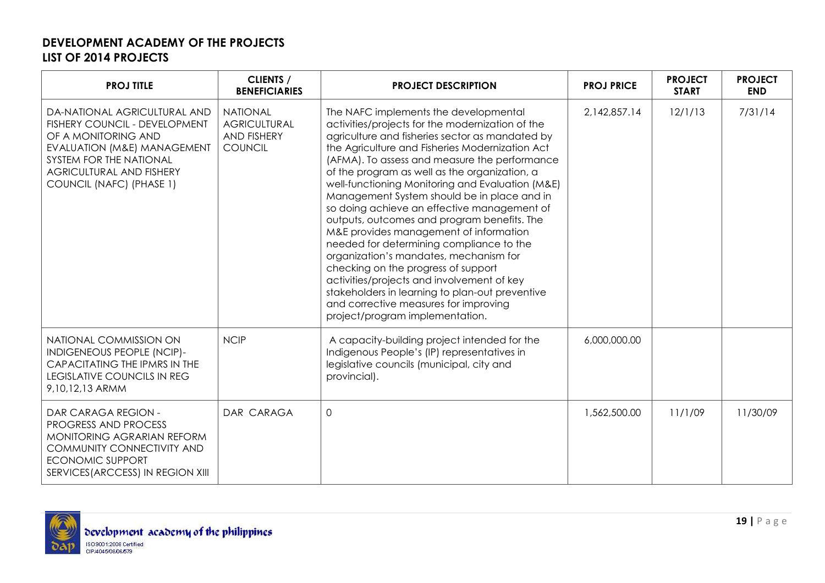| <b>PROJ TITLE</b>                                                                                                                                                                                                        | <b>CLIENTS /</b><br><b>BENEFICIARIES</b>                                       | <b>PROJECT DESCRIPTION</b>                                                                                                                                                                                                                                                                                                                                                                                                                                                                                                                                                                                                                                                                                                                                                                                                                             | <b>PROJ PRICE</b> | <b>PROJECT</b><br><b>START</b> | <b>PROJECT</b><br><b>END</b> |
|--------------------------------------------------------------------------------------------------------------------------------------------------------------------------------------------------------------------------|--------------------------------------------------------------------------------|--------------------------------------------------------------------------------------------------------------------------------------------------------------------------------------------------------------------------------------------------------------------------------------------------------------------------------------------------------------------------------------------------------------------------------------------------------------------------------------------------------------------------------------------------------------------------------------------------------------------------------------------------------------------------------------------------------------------------------------------------------------------------------------------------------------------------------------------------------|-------------------|--------------------------------|------------------------------|
| DA-NATIONAL AGRICULTURAL AND<br>FISHERY COUNCIL - DEVELOPMENT<br>OF A MONITORING AND<br><b>EVALUATION (M&amp;E) MANAGEMENT</b><br>SYSTEM FOR THE NATIONAL<br><b>AGRICULTURAL AND FISHERY</b><br>COUNCIL (NAFC) (PHASE 1) | <b>NATIONAL</b><br><b>AGRICULTURAL</b><br><b>AND FISHERY</b><br><b>COUNCIL</b> | The NAFC implements the developmental<br>activities/projects for the modernization of the<br>agriculture and fisheries sector as mandated by<br>the Agriculture and Fisheries Modernization Act<br>(AFMA). To assess and measure the performance<br>of the program as well as the organization, a<br>well-functioning Monitoring and Evaluation (M&E)<br>Management System should be in place and in<br>so doing achieve an effective management of<br>outputs, outcomes and program benefits. The<br>M&E provides management of information<br>needed for determining compliance to the<br>organization's mandates, mechanism for<br>checking on the progress of support<br>activities/projects and involvement of key<br>stakeholders in learning to plan-out preventive<br>and corrective measures for improving<br>project/program implementation. | 2,142,857.14      | 12/1/13                        | 7/31/14                      |
| NATIONAL COMMISSION ON<br>INDIGENEOUS PEOPLE (NCIP)-<br>CAPACITATING THE IPMRS IN THE<br><b>LEGISLATIVE COUNCILS IN REG</b><br>9,10,12,13 ARMM                                                                           | <b>NCIP</b>                                                                    | A capacity-building project intended for the<br>Indigenous People's (IP) representatives in<br>legislative councils (municipal, city and<br>provincial).                                                                                                                                                                                                                                                                                                                                                                                                                                                                                                                                                                                                                                                                                               | 6,000,000.00      |                                |                              |
| DAR CARAGA REGION -<br>PROGRESS AND PROCESS<br>MONITORING AGRARIAN REFORM<br>COMMUNITY CONNECTIVITY AND<br><b>ECONOMIC SUPPORT</b><br>SERVICES (ARCCESS) IN REGION XIII                                                  | DAR CARAGA                                                                     | $\overline{0}$                                                                                                                                                                                                                                                                                                                                                                                                                                                                                                                                                                                                                                                                                                                                                                                                                                         | 1,562,500.00      | 11/1/09                        | 11/30/09                     |

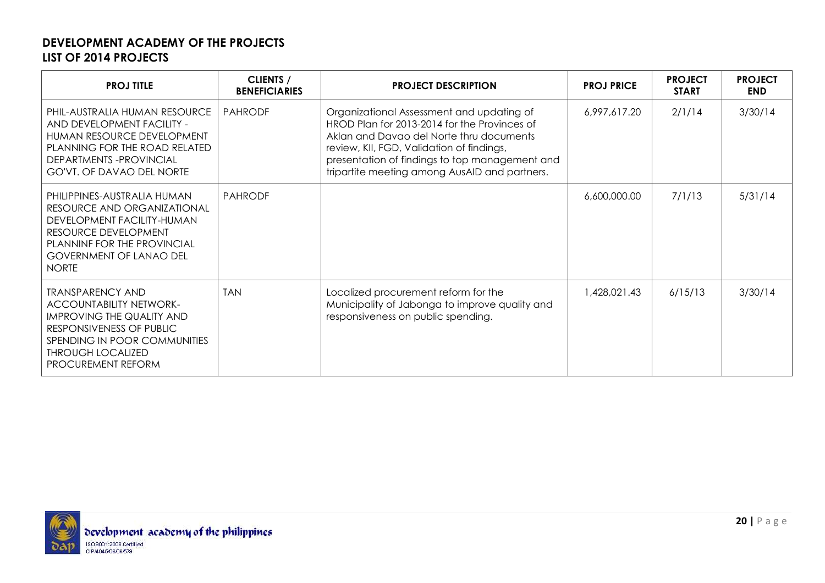| <b>PROJ TITLE</b>                                                                                                                                                                                                  | <b>CLIENTS /</b><br><b>BENEFICIARIES</b> | <b>PROJECT DESCRIPTION</b>                                                                                                                                                                                                                                                            | <b>PROJ PRICE</b> | <b>PROJECT</b><br><b>START</b> | <b>PROJECT</b><br><b>END</b> |
|--------------------------------------------------------------------------------------------------------------------------------------------------------------------------------------------------------------------|------------------------------------------|---------------------------------------------------------------------------------------------------------------------------------------------------------------------------------------------------------------------------------------------------------------------------------------|-------------------|--------------------------------|------------------------------|
| PHIL-AUSTRALIA HUMAN RESOURCE<br>AND DEVELOPMENT FACILITY -<br>HUMAN RESOURCE DEVELOPMENT<br>PLANNING FOR THE ROAD RELATED<br>DEPARTMENTS-PROVINCIAL<br><b>GO'VT. OF DAVAO DEL NORTE</b>                           | <b>PAHRODF</b>                           | Organizational Assessment and updating of<br>HROD Plan for 2013-2014 for the Provinces of<br>Aklan and Davao del Norte thru documents<br>review, KII, FGD, Validation of findings,<br>presentation of findings to top management and<br>tripartite meeting among AusAID and partners. | 6,997,617.20      | 2/1/14                         | 3/30/14                      |
| PHILIPPINES-AUSTRALIA HUMAN<br>RESOURCE AND ORGANIZATIONAL<br>DEVELOPMENT FACILITY-HUMAN<br>RESOURCE DEVELOPMENT<br>PLANNINF FOR THE PROVINCIAL<br><b>GOVERNMENT OF LANAO DEL</b><br><b>NORTE</b>                  | <b>PAHRODE</b>                           |                                                                                                                                                                                                                                                                                       | 6,600,000.00      | 7/1/13                         | 5/31/14                      |
| <b>TRANSPARENCY AND</b><br><b>ACCOUNTABILITY NETWORK-</b><br><b>IMPROVING THE QUALITY AND</b><br>RESPONSIVENESS OF PUBLIC<br>SPENDING IN POOR COMMUNITIES<br><b>THROUGH LOCALIZED</b><br><b>PROCUREMENT REFORM</b> | <b>TAN</b>                               | Localized procurement reform for the<br>Municipality of Jabonga to improve quality and<br>responsiveness on public spending.                                                                                                                                                          | 1,428,021.43      | 6/15/13                        | 3/30/14                      |

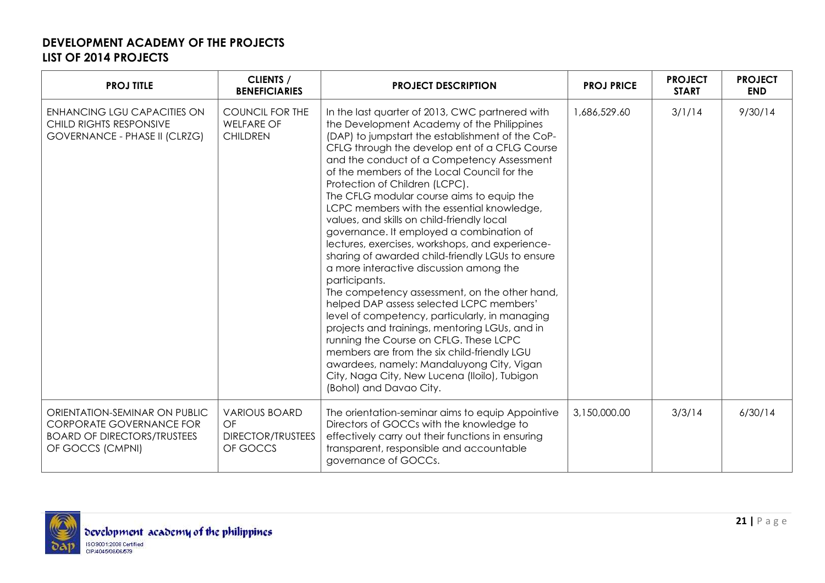| <b>PROJ TITLE</b>                                                                                                          | <b>CLIENTS /</b><br><b>BENEFICIARIES</b>                           | <b>PROJECT DESCRIPTION</b>                                                                                                                                                                                                                                                                                                                                                                                                                                                                                                                                                                                                                                                                                                                                                                                                                                                                                                                                                                                                                                                                                   | <b>PROJ PRICE</b> | <b>PROJECT</b><br><b>START</b> | <b>PROJECT</b><br><b>END</b> |
|----------------------------------------------------------------------------------------------------------------------------|--------------------------------------------------------------------|--------------------------------------------------------------------------------------------------------------------------------------------------------------------------------------------------------------------------------------------------------------------------------------------------------------------------------------------------------------------------------------------------------------------------------------------------------------------------------------------------------------------------------------------------------------------------------------------------------------------------------------------------------------------------------------------------------------------------------------------------------------------------------------------------------------------------------------------------------------------------------------------------------------------------------------------------------------------------------------------------------------------------------------------------------------------------------------------------------------|-------------------|--------------------------------|------------------------------|
| <b>ENHANCING LGU CAPACITIES ON</b><br>CHILD RIGHTS RESPONSIVE<br><b>GOVERNANCE - PHASE II (CLRZG)</b>                      | <b>COUNCIL FOR THE</b><br><b>WELFARE OF</b><br><b>CHILDREN</b>     | In the last quarter of 2013, CWC partnered with<br>the Development Academy of the Philippines<br>(DAP) to jumpstart the establishment of the CoP-<br>CFLG through the develop ent of a CFLG Course<br>and the conduct of a Competency Assessment<br>of the members of the Local Council for the<br>Protection of Children (LCPC).<br>The CFLG modular course aims to equip the<br>LCPC members with the essential knowledge,<br>values, and skills on child-friendly local<br>governance. It employed a combination of<br>lectures, exercises, workshops, and experience-<br>sharing of awarded child-friendly LGUs to ensure<br>a more interactive discussion among the<br>participants.<br>The competency assessment, on the other hand,<br>helped DAP assess selected LCPC members'<br>level of competency, particularly, in managing<br>projects and trainings, mentoring LGUs, and in<br>running the Course on CFLG. These LCPC<br>members are from the six child-friendly LGU<br>awardees, namely: Mandaluyong City, Vigan<br>City, Naga City, New Lucena (Iloilo), Tubigon<br>(Bohol) and Davao City. | 1,686,529.60      | 3/1/14                         | 9/30/14                      |
| ORIENTATION-SEMINAR ON PUBLIC<br><b>CORPORATE GOVERNANCE FOR</b><br><b>BOARD OF DIRECTORS/TRUSTEES</b><br>OF GOCCS (CMPNI) | <b>VARIOUS BOARD</b><br>OF<br><b>DIRECTOR/TRUSTEES</b><br>OF GOCCS | The orientation-seminar aims to equip Appointive<br>Directors of GOCCs with the knowledge to<br>effectively carry out their functions in ensuring<br>transparent, responsible and accountable<br>governance of GOCCs.                                                                                                                                                                                                                                                                                                                                                                                                                                                                                                                                                                                                                                                                                                                                                                                                                                                                                        | 3,150,000.00      | 3/3/14                         | 6/30/14                      |

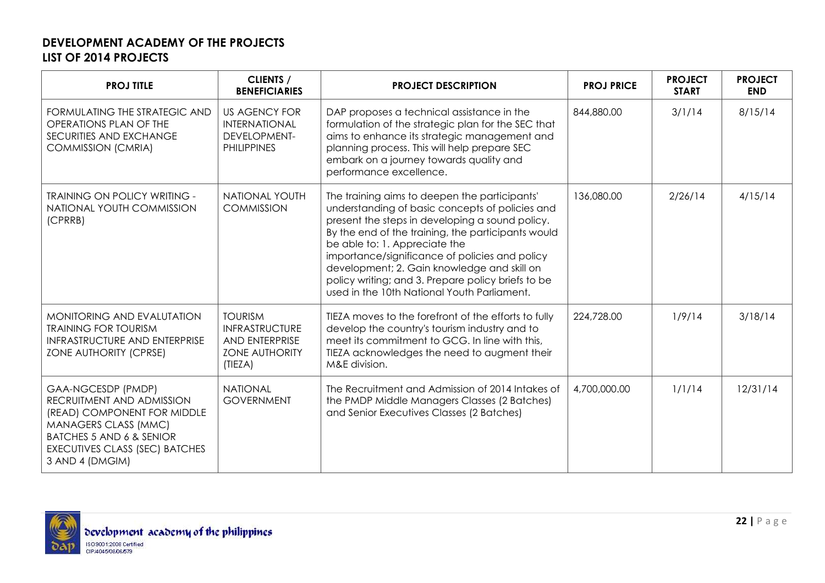| <b>PROJ TITLE</b>                                                                                                                                                                                         | <b>CLIENTS /</b><br><b>BENEFICIARIES</b>                                                      | <b>PROJECT DESCRIPTION</b>                                                                                                                                                                                                                                                                                                                                                                                                                       | <b>PROJ PRICE</b> | <b>PROJECT</b><br><b>START</b> | <b>PROJECT</b><br><b>END</b> |
|-----------------------------------------------------------------------------------------------------------------------------------------------------------------------------------------------------------|-----------------------------------------------------------------------------------------------|--------------------------------------------------------------------------------------------------------------------------------------------------------------------------------------------------------------------------------------------------------------------------------------------------------------------------------------------------------------------------------------------------------------------------------------------------|-------------------|--------------------------------|------------------------------|
| FORMULATING THE STRATEGIC AND<br>OPERATIONS PLAN OF THE<br>SECURITIES AND EXCHANGE<br><b>COMMISSION (CMRIA)</b>                                                                                           | <b>US AGENCY FOR</b><br>INTERNATIONAL<br><b>DEVELOPMENT-</b><br><b>PHILIPPINES</b>            | DAP proposes a technical assistance in the<br>formulation of the strategic plan for the SEC that<br>aims to enhance its strategic management and<br>planning process. This will help prepare SEC<br>embark on a journey towards quality and<br>performance excellence.                                                                                                                                                                           | 844,880.00        | 3/1/14                         | 8/15/14                      |
| <b>TRAINING ON POLICY WRITING -</b><br>NATIONAL YOUTH COMMISSION<br>(CPRRB)                                                                                                                               | <b>NATIONAL YOUTH</b><br><b>COMMISSION</b>                                                    | The training aims to deepen the participants'<br>understanding of basic concepts of policies and<br>present the steps in developing a sound policy.<br>By the end of the training, the participants would<br>be able to: 1. Appreciate the<br>importance/significance of policies and policy<br>development; 2. Gain knowledge and skill on<br>policy writing; and 3. Prepare policy briefs to be<br>used in the 10th National Youth Parliament. | 136,080.00        | 2/26/14                        | 4/15/14                      |
| MONITORING AND EVALUTATION<br><b>TRAINING FOR TOURISM</b><br><b>INFRASTRUCTURE AND ENTERPRISE</b><br>ZONE AUTHORITY (CPRSE)                                                                               | <b>TOURISM</b><br><b>INFRASTRUCTURE</b><br>AND ENTERPRISE<br><b>ZONE AUTHORITY</b><br>(TIEZA) | TIEZA moves to the forefront of the efforts to fully<br>develop the country's tourism industry and to<br>meet its commitment to GCG. In line with this,<br>TIEZA acknowledges the need to augment their<br>M&E division.                                                                                                                                                                                                                         | 224,728.00        | 1/9/14                         | 3/18/14                      |
| GAA-NGCESDP (PMDP)<br>RECRUITMENT AND ADMISSION<br>(READ) COMPONENT FOR MIDDLE<br>MANAGERS CLASS (MMC)<br><b>BATCHES 5 AND 6 &amp; SENIOR</b><br><b>EXECUTIVES CLASS (SEC) BATCHES</b><br>3 AND 4 (DMGIM) | <b>NATIONAL</b><br><b>GOVERNMENT</b>                                                          | The Recruitment and Admission of 2014 Intakes of<br>the PMDP Middle Managers Classes (2 Batches)<br>and Senior Executives Classes (2 Batches)                                                                                                                                                                                                                                                                                                    | 4,700,000.00      | 1/1/14                         | 12/31/14                     |

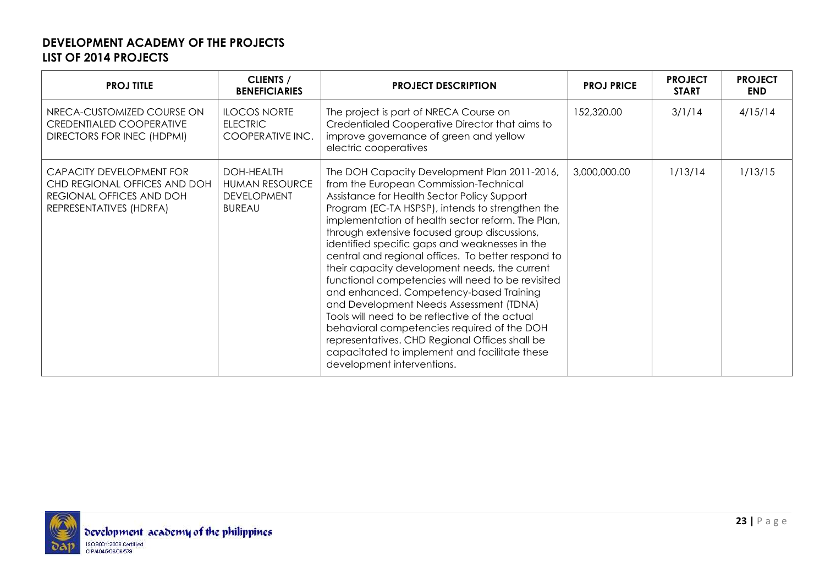| <b>PROJ TITLE</b>                                                                                               | <b>CLIENTS /</b><br><b>BENEFICIARIES</b>                                   | <b>PROJECT DESCRIPTION</b>                                                                                                                                                                                                                                                                                                                                                                                                                                                                                                                                                                                                                                                                                                                                                                                                           | <b>PROJ PRICE</b> | <b>PROJECT</b><br><b>START</b> | <b>PROJECT</b><br><b>END</b> |
|-----------------------------------------------------------------------------------------------------------------|----------------------------------------------------------------------------|--------------------------------------------------------------------------------------------------------------------------------------------------------------------------------------------------------------------------------------------------------------------------------------------------------------------------------------------------------------------------------------------------------------------------------------------------------------------------------------------------------------------------------------------------------------------------------------------------------------------------------------------------------------------------------------------------------------------------------------------------------------------------------------------------------------------------------------|-------------------|--------------------------------|------------------------------|
| NRECA-CUSTOMIZED COURSE ON<br><b>CREDENTIALED COOPERATIVE</b><br>DIRECTORS FOR INEC (HDPMI)                     | <b>ILOCOS NORTE</b><br><b>ELECTRIC</b><br>COOPERATIVE INC.                 | The project is part of NRECA Course on<br>Credentialed Cooperative Director that aims to<br>improve governance of green and yellow<br>electric cooperatives                                                                                                                                                                                                                                                                                                                                                                                                                                                                                                                                                                                                                                                                          | 152,320.00        | 3/1/14                         | 4/15/14                      |
| CAPACITY DEVELOPMENT FOR<br>CHD REGIONAL OFFICES AND DOH<br>REGIONAL OFFICES AND DOH<br>REPRESENTATIVES (HDRFA) | DOH-HEALTH<br><b>HUMAN RESOURCE</b><br><b>DEVELOPMENT</b><br><b>BUREAU</b> | The DOH Capacity Development Plan 2011-2016,<br>from the European Commission-Technical<br>Assistance for Health Sector Policy Support<br>Program (EC-TA HSPSP), intends to strengthen the<br>implementation of health sector reform. The Plan,<br>through extensive focused group discussions,<br>identified specific gaps and weaknesses in the<br>central and regional offices. To better respond to<br>their capacity development needs, the current<br>functional competencies will need to be revisited<br>and enhanced. Competency-based Training<br>and Development Needs Assessment (TDNA)<br>Tools will need to be reflective of the actual<br>behavioral competencies required of the DOH<br>representatives. CHD Regional Offices shall be<br>capacitated to implement and facilitate these<br>development interventions. | 3,000,000.00      | 1/13/14                        | 1/13/15                      |

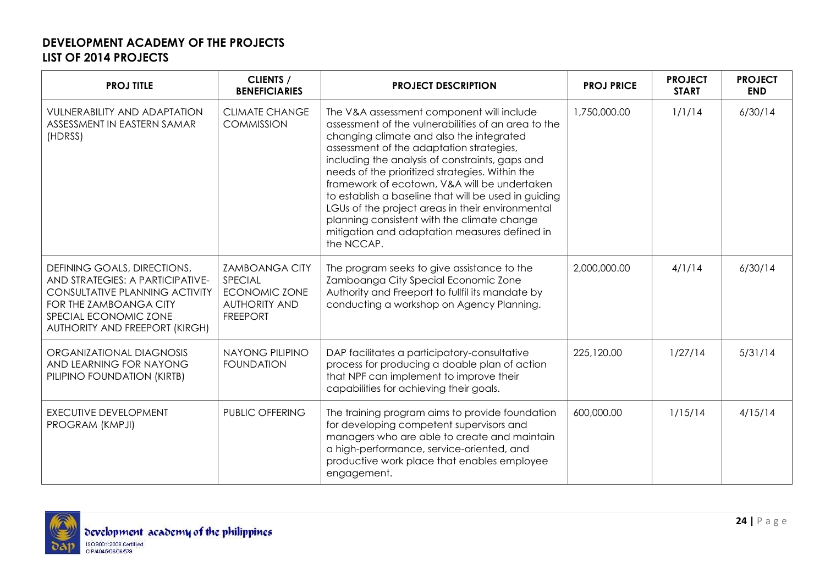| <b>PROJ TITLE</b>                                                                                                                                                                             | <b>CLIENTS /</b><br><b>BENEFICIARIES</b>                                                            | <b>PROJECT DESCRIPTION</b>                                                                                                                                                                                                                                                                                                                                                                                                                                                                                                                                               | <b>PROJ PRICE</b> | <b>PROJECT</b><br><b>START</b> | <b>PROJECT</b><br><b>END</b> |
|-----------------------------------------------------------------------------------------------------------------------------------------------------------------------------------------------|-----------------------------------------------------------------------------------------------------|--------------------------------------------------------------------------------------------------------------------------------------------------------------------------------------------------------------------------------------------------------------------------------------------------------------------------------------------------------------------------------------------------------------------------------------------------------------------------------------------------------------------------------------------------------------------------|-------------------|--------------------------------|------------------------------|
| <b>VULNERABILITY AND ADAPTATION</b><br>ASSESSMENT IN EASTERN SAMAR<br>(HDRSS)                                                                                                                 | <b>CLIMATE CHANGE</b><br><b>COMMISSION</b>                                                          | The V&A assessment component will include<br>assessment of the vulnerabilities of an area to the<br>changing climate and also the integrated<br>assessment of the adaptation strategies,<br>including the analysis of constraints, gaps and<br>needs of the prioritized strategies. Within the<br>framework of ecotown, V&A will be undertaken<br>to establish a baseline that will be used in guiding<br>LGUs of the project areas in their environmental<br>planning consistent with the climate change<br>mitigation and adaptation measures defined in<br>the NCCAP. | 1,750,000.00      | 1/1/14                         | 6/30/14                      |
| DEFINING GOALS, DIRECTIONS,<br>AND STRATEGIES: A PARTICIPATIVE-<br><b>CONSULTATIVE PLANNING ACTIVITY</b><br>FOR THE ZAMBOANGA CITY<br>SPECIAL ECONOMIC ZONE<br>AUTHORITY AND FREEPORT (KIRGH) | <b>ZAMBOANGA CITY</b><br>SPECIAL<br><b>ECONOMIC ZONE</b><br><b>AUTHORITY AND</b><br><b>FREEPORT</b> | The program seeks to give assistance to the<br>Zamboanga City Special Economic Zone<br>Authority and Freeport to fullfil its mandate by<br>conducting a workshop on Agency Planning.                                                                                                                                                                                                                                                                                                                                                                                     | 2,000,000.00      | 4/1/14                         | 6/30/14                      |
| ORGANIZATIONAL DIAGNOSIS<br>AND LEARNING FOR NAYONG<br>PILIPINO FOUNDATION (KIRTB)                                                                                                            | <b>NAYONG PILIPINO</b><br><b>FOUNDATION</b>                                                         | DAP facilitates a participatory-consultative<br>process for producing a doable plan of action<br>that NPF can implement to improve their<br>capabilities for achieving their goals.                                                                                                                                                                                                                                                                                                                                                                                      | 225,120.00        | 1/27/14                        | 5/31/14                      |
| <b>EXECUTIVE DEVELOPMENT</b><br>PROGRAM (KMPJI)                                                                                                                                               | <b>PUBLIC OFFERING</b>                                                                              | The training program aims to provide foundation<br>for developing competent supervisors and<br>managers who are able to create and maintain<br>a high-performance, service-oriented, and<br>productive work place that enables employee<br>engagement.                                                                                                                                                                                                                                                                                                                   | 600,000.00        | 1/15/14                        | 4/15/14                      |

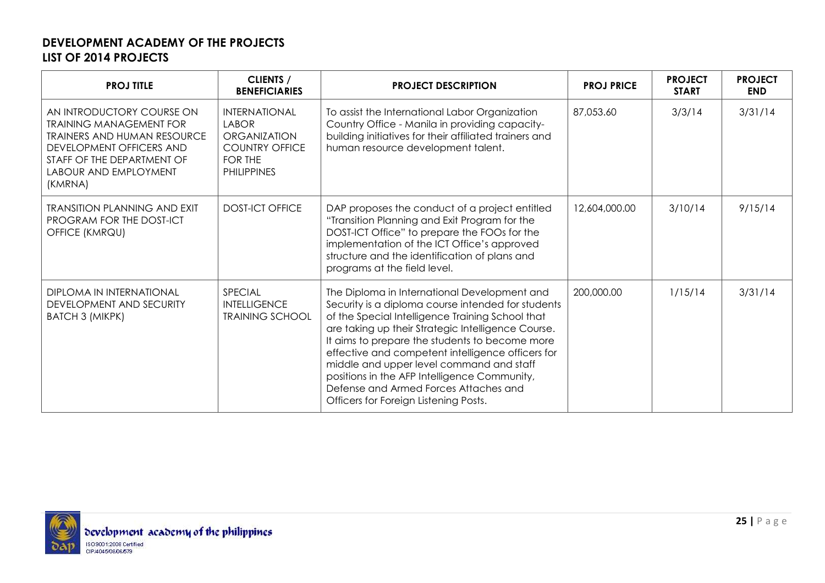| <b>PROJ TITLE</b>                                                                                                                                                                               | <b>CLIENTS /</b><br><b>BENEFICIARIES</b>                                                                              | <b>PROJECT DESCRIPTION</b>                                                                                                                                                                                                                                                                                                                                                                                                                                                                        | <b>PROJ PRICE</b> | <b>PROJECT</b><br><b>START</b> | <b>PROJECT</b><br><b>END</b> |
|-------------------------------------------------------------------------------------------------------------------------------------------------------------------------------------------------|-----------------------------------------------------------------------------------------------------------------------|---------------------------------------------------------------------------------------------------------------------------------------------------------------------------------------------------------------------------------------------------------------------------------------------------------------------------------------------------------------------------------------------------------------------------------------------------------------------------------------------------|-------------------|--------------------------------|------------------------------|
| AN INTRODUCTORY COURSE ON<br><b>TRAINING MANAGEMENT FOR</b><br><b>TRAINERS AND HUMAN RESOURCE</b><br>DEVELOPMENT OFFICERS AND<br>STAFF OF THE DEPARTMENT OF<br>LABOUR AND EMPLOYMENT<br>(KMRNA) | <b>INTERNATIONAL</b><br><b>LABOR</b><br><b>ORGANIZATION</b><br><b>COUNTRY OFFICE</b><br>FOR THE<br><b>PHILIPPINES</b> | To assist the International Labor Organization<br>Country Office - Manila in providing capacity-<br>building initiatives for their affiliated trainers and<br>human resource development talent.                                                                                                                                                                                                                                                                                                  | 87,053.60         | 3/3/14                         | 3/31/14                      |
| <b>TRANSITION PLANNING AND EXIT</b><br>PROGRAM FOR THE DOST-ICT<br>OFFICE (KMRQU)                                                                                                               | <b>DOST-ICT OFFICE</b>                                                                                                | DAP proposes the conduct of a project entitled<br>"Transition Planning and Exit Program for the<br>DOST-ICT Office" to prepare the FOOs for the<br>implementation of the ICT Office's approved<br>structure and the identification of plans and<br>programs at the field level.                                                                                                                                                                                                                   | 12,604,000.00     | 3/10/14                        | 9/15/14                      |
| <b>DIPLOMA IN INTERNATIONAL</b><br>DEVELOPMENT AND SECURITY<br><b>BATCH 3 (MIKPK)</b>                                                                                                           | SPECIAL<br><b>INTELLIGENCE</b><br><b>TRAINING SCHOOL</b>                                                              | The Diploma in International Development and<br>Security is a diploma course intended for students<br>of the Special Intelligence Training School that<br>are taking up their Strategic Intelligence Course.<br>It aims to prepare the students to become more<br>effective and competent intelligence officers for<br>middle and upper level command and staff<br>positions in the AFP Intelligence Community,<br>Defense and Armed Forces Attaches and<br>Officers for Foreign Listening Posts. | 200,000.00        | 1/15/14                        | 3/31/14                      |

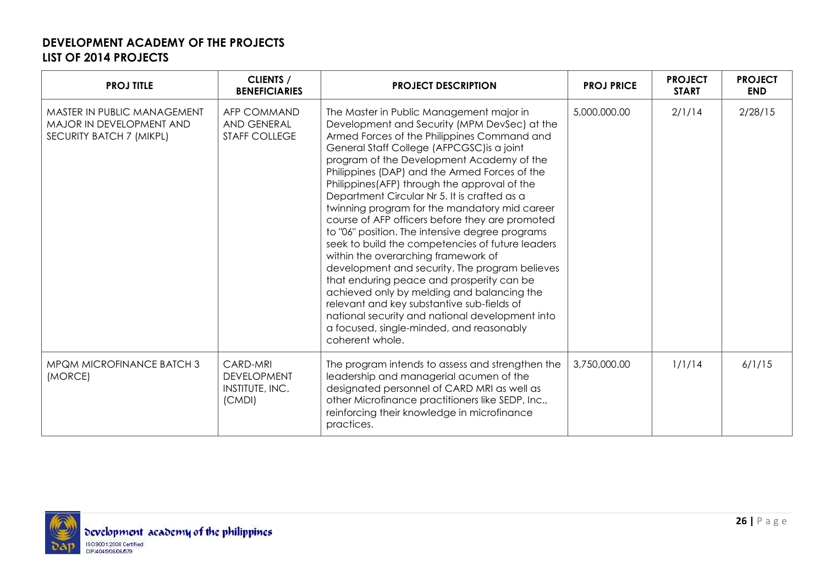| <b>PROJ TITLE</b>                                                                   | <b>CLIENTS /</b><br><b>BENEFICIARIES</b>                    | <b>PROJECT DESCRIPTION</b>                                                                                                                                                                                                                                                                                                                                                                                                                                                                                                                                                                                                                                                                                                                                                                                                                                                                                                                          | <b>PROJ PRICE</b> | <b>PROJECT</b><br><b>START</b> | <b>PROJECT</b><br><b>END</b> |
|-------------------------------------------------------------------------------------|-------------------------------------------------------------|-----------------------------------------------------------------------------------------------------------------------------------------------------------------------------------------------------------------------------------------------------------------------------------------------------------------------------------------------------------------------------------------------------------------------------------------------------------------------------------------------------------------------------------------------------------------------------------------------------------------------------------------------------------------------------------------------------------------------------------------------------------------------------------------------------------------------------------------------------------------------------------------------------------------------------------------------------|-------------------|--------------------------------|------------------------------|
| MASTER IN PUBLIC MANAGEMENT<br>MAJOR IN DEVELOPMENT AND<br>SECURITY BATCH 7 (MIKPL) | <b>AFP COMMAND</b><br>AND GENERAL<br><b>STAFF COLLEGE</b>   | The Master in Public Management major in<br>Development and Security (MPM DevSec) at the<br>Armed Forces of the Philippines Command and<br>General Staff College (AFPCGSC) is a joint<br>program of the Development Academy of the<br>Philippines (DAP) and the Armed Forces of the<br>Philippines (AFP) through the approval of the<br>Department Circular Nr 5. It is crafted as a<br>twinning program for the mandatory mid career<br>course of AFP officers before they are promoted<br>to "06" position. The intensive degree programs<br>seek to build the competencies of future leaders<br>within the overarching framework of<br>development and security. The program believes<br>that enduring peace and prosperity can be<br>achieved only by melding and balancing the<br>relevant and key substantive sub-fields of<br>national security and national development into<br>a focused, single-minded, and reasonably<br>coherent whole. | 5,000,000.00      | 2/1/14                         | 2/28/15                      |
| MPQM MICROFINANCE BATCH 3<br>(MORCE)                                                | CARD-MRI<br><b>DEVELOPMENT</b><br>INSTITUTE, INC.<br>(CMDI) | The program intends to assess and strengthen the<br>leadership and managerial acumen of the<br>designated personnel of CARD MRI as well as<br>other Microfinance practitioners like SEDP, Inc.,<br>reinforcing their knowledge in microfinance<br>practices.                                                                                                                                                                                                                                                                                                                                                                                                                                                                                                                                                                                                                                                                                        | 3,750,000.00      | 1/1/14                         | 6/1/15                       |

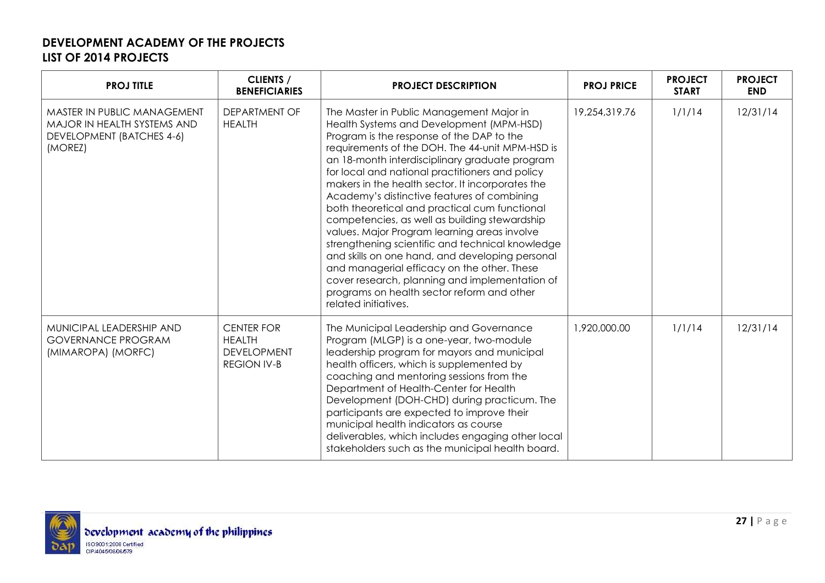| <b>PROJ TITLE</b>                                                                                  | <b>CLIENTS /</b><br><b>BENEFICIARIES</b>                                       | <b>PROJECT DESCRIPTION</b>                                                                                                                                                                                                                                                                                                                                                                                                                                                                                                                                                                                                                                                                                                                                                                                                   | <b>PROJ PRICE</b> | <b>PROJECT</b><br><b>START</b> | <b>PROJECT</b><br><b>END</b> |
|----------------------------------------------------------------------------------------------------|--------------------------------------------------------------------------------|------------------------------------------------------------------------------------------------------------------------------------------------------------------------------------------------------------------------------------------------------------------------------------------------------------------------------------------------------------------------------------------------------------------------------------------------------------------------------------------------------------------------------------------------------------------------------------------------------------------------------------------------------------------------------------------------------------------------------------------------------------------------------------------------------------------------------|-------------------|--------------------------------|------------------------------|
| MASTER IN PUBLIC MANAGEMENT<br>MAJOR IN HEALTH SYSTEMS AND<br>DEVELOPMENT (BATCHES 4-6)<br>(MOREZ) | <b>DEPARTMENT OF</b><br><b>HEALTH</b>                                          | The Master in Public Management Major in<br>Health Systems and Development (MPM-HSD)<br>Program is the response of the DAP to the<br>requirements of the DOH. The 44-unit MPM-HSD is<br>an 18-month interdisciplinary graduate program<br>for local and national practitioners and policy<br>makers in the health sector. It incorporates the<br>Academy's distinctive features of combining<br>both theoretical and practical cum functional<br>competencies, as well as building stewardship<br>values. Major Program learning areas involve<br>strengthening scientific and technical knowledge<br>and skills on one hand, and developing personal<br>and managerial efficacy on the other. These<br>cover research, planning and implementation of<br>programs on health sector reform and other<br>related initiatives. | 19,254,319.76     | 1/1/14                         | 12/31/14                     |
| MUNICIPAL LEADERSHIP AND<br><b>GOVERNANCE PROGRAM</b><br>(MIMAROPA) (MORFC)                        | <b>CENTER FOR</b><br><b>HEALTH</b><br><b>DEVELOPMENT</b><br><b>REGION IV-B</b> | The Municipal Leadership and Governance<br>Program (MLGP) is a one-year, two-module<br>leadership program for mayors and municipal<br>health officers, which is supplemented by<br>coaching and mentoring sessions from the<br>Department of Health-Center for Health<br>Development (DOH-CHD) during practicum. The<br>participants are expected to improve their<br>municipal health indicators as course<br>deliverables, which includes engaging other local<br>stakeholders such as the municipal health board.                                                                                                                                                                                                                                                                                                         | 1,920,000.00      | 1/1/14                         | 12/31/14                     |

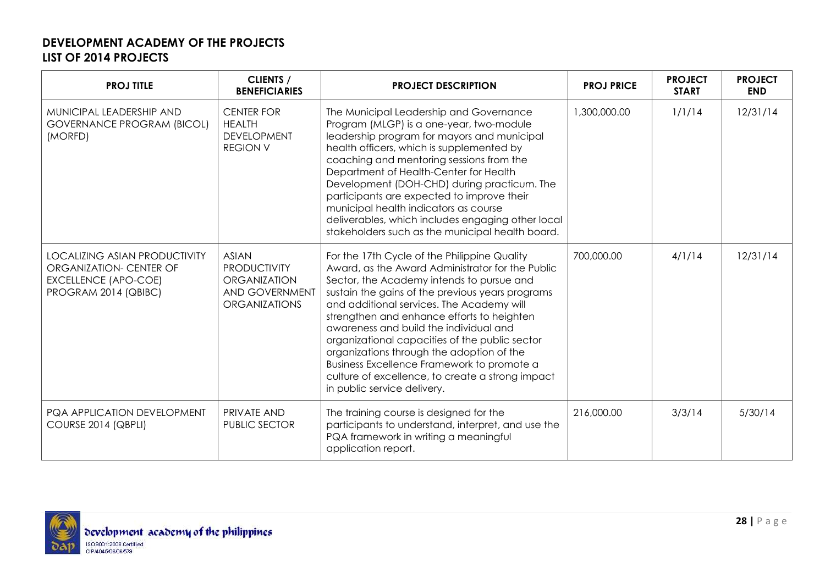| <b>PROJ TITLE</b>                                                                                                      | <b>CLIENTS /</b><br><b>BENEFICIARIES</b>                                                             | <b>PROJECT DESCRIPTION</b>                                                                                                                                                                                                                                                                                                                                                                                                                                                                                                                                             | <b>PROJ PRICE</b> | <b>PROJECT</b><br><b>START</b> | <b>PROJECT</b><br><b>END</b> |
|------------------------------------------------------------------------------------------------------------------------|------------------------------------------------------------------------------------------------------|------------------------------------------------------------------------------------------------------------------------------------------------------------------------------------------------------------------------------------------------------------------------------------------------------------------------------------------------------------------------------------------------------------------------------------------------------------------------------------------------------------------------------------------------------------------------|-------------------|--------------------------------|------------------------------|
| MUNICIPAL LEADERSHIP AND<br><b>GOVERNANCE PROGRAM (BICOL)</b><br>(MORFD)                                               | <b>CENTER FOR</b><br><b>HEALTH</b><br><b>DEVELOPMENT</b><br><b>REGION V</b>                          | The Municipal Leadership and Governance<br>Program (MLGP) is a one-year, two-module<br>leadership program for mayors and municipal<br>health officers, which is supplemented by<br>coaching and mentoring sessions from the<br>Department of Health-Center for Health<br>Development (DOH-CHD) during practicum. The<br>participants are expected to improve their<br>municipal health indicators as course<br>deliverables, which includes engaging other local<br>stakeholders such as the municipal health board.                                                   | 1,300,000.00      | 1/1/14                         | 12/31/14                     |
| <b>LOCALIZING ASIAN PRODUCTIVITY</b><br>ORGANIZATION- CENTER OF<br><b>EXCELLENCE (APO-COE)</b><br>PROGRAM 2014 (QBIBC) | <b>ASIAN</b><br><b>PRODUCTIVITY</b><br><b>ORGANIZATION</b><br>AND GOVERNMENT<br><b>ORGANIZATIONS</b> | For the 17th Cycle of the Philippine Quality<br>Award, as the Award Administrator for the Public<br>Sector, the Academy intends to pursue and<br>sustain the gains of the previous years programs<br>and additional services. The Academy will<br>strengthen and enhance efforts to heighten<br>awareness and build the individual and<br>organizational capacities of the public sector<br>organizations through the adoption of the<br>Business Excellence Framework to promote a<br>culture of excellence, to create a strong impact<br>in public service delivery. | 700,000.00        | 4/1/14                         | 12/31/14                     |
| PQA APPLICATION DEVELOPMENT<br>COURSE 2014 (QBPLI)                                                                     | PRIVATE AND<br><b>PUBLIC SECTOR</b>                                                                  | The training course is designed for the<br>participants to understand, interpret, and use the<br>PQA framework in writing a meaningful<br>application report.                                                                                                                                                                                                                                                                                                                                                                                                          | 216,000.00        | 3/3/14                         | 5/30/14                      |

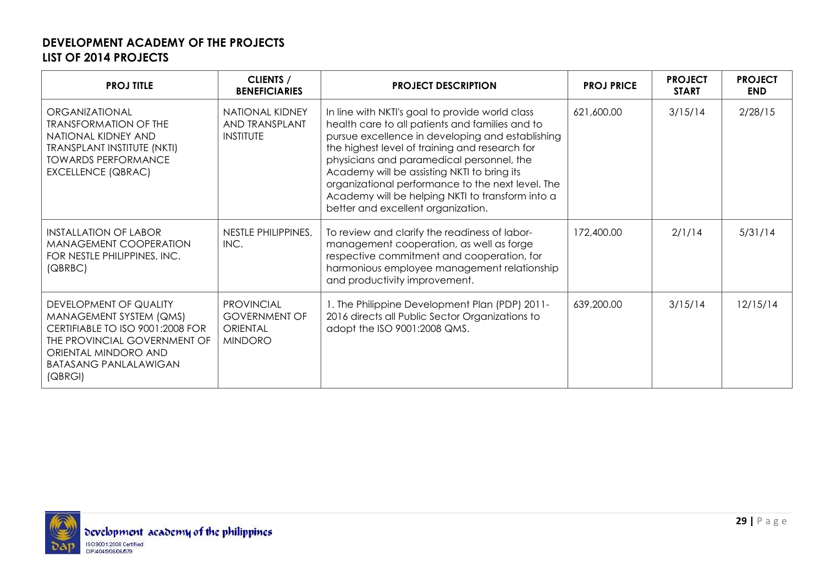| <b>PROJ TITLE</b>                                                                                                                                                                        | <b>CLIENTS /</b><br><b>BENEFICIARIES</b>                                       | <b>PROJECT DESCRIPTION</b>                                                                                                                                                                                                                                                                                                                                                                                                                          | <b>PROJ PRICE</b> | <b>PROJECT</b><br><b>START</b> | <b>PROJECT</b><br><b>END</b> |
|------------------------------------------------------------------------------------------------------------------------------------------------------------------------------------------|--------------------------------------------------------------------------------|-----------------------------------------------------------------------------------------------------------------------------------------------------------------------------------------------------------------------------------------------------------------------------------------------------------------------------------------------------------------------------------------------------------------------------------------------------|-------------------|--------------------------------|------------------------------|
| ORGANIZATIONAL<br><b>TRANSFORMATION OF THE</b><br>NATIONAL KIDNEY AND<br><b>TRANSPLANT INSTITUTE (NKTI)</b><br><b>TOWARDS PERFORMANCE</b><br><b>EXCELLENCE (QBRAC)</b>                   | <b>NATIONAL KIDNEY</b><br>AND TRANSPLANT<br><b>INSTITUTE</b>                   | In line with NKTI's goal to provide world class<br>health care to all patients and families and to<br>pursue excellence in developing and establishing<br>the highest level of training and research for<br>physicians and paramedical personnel, the<br>Academy will be assisting NKTI to bring its<br>organizational performance to the next level. The<br>Academy will be helping NKTI to transform into a<br>better and excellent organization. | 621,600.00        | 3/15/14                        | 2/28/15                      |
| <b>INSTALLATION OF LABOR</b><br>MANAGEMENT COOPERATION<br>FOR NESTLE PHILIPPINES, INC.<br>(QBRBC)                                                                                        | NESTLE PHILIPPINES,<br>INC.                                                    | To review and clarify the readiness of labor-<br>management cooperation, as well as forge<br>respective commitment and cooperation, for<br>harmonious employee management relationship<br>and productivity improvement.                                                                                                                                                                                                                             | 172,400.00        | 2/1/14                         | 5/31/14                      |
| DEVELOPMENT OF QUALITY<br>MANAGEMENT SYSTEM (QMS)<br>CERTIFIABLE TO ISO 9001:2008 FOR<br>THE PROVINCIAL GOVERNMENT OF<br>ORIENTAL MINDORO AND<br><b>BATASANG PANLALAWIGAN</b><br>(QBRGI) | <b>PROVINCIAL</b><br><b>GOVERNMENT OF</b><br><b>ORIENTAL</b><br><b>MINDORO</b> | 1. The Philippine Development Plan (PDP) 2011-<br>2016 directs all Public Sector Organizations to<br>adopt the ISO 9001:2008 QMS.                                                                                                                                                                                                                                                                                                                   | 639,200.00        | 3/15/14                        | 12/15/14                     |

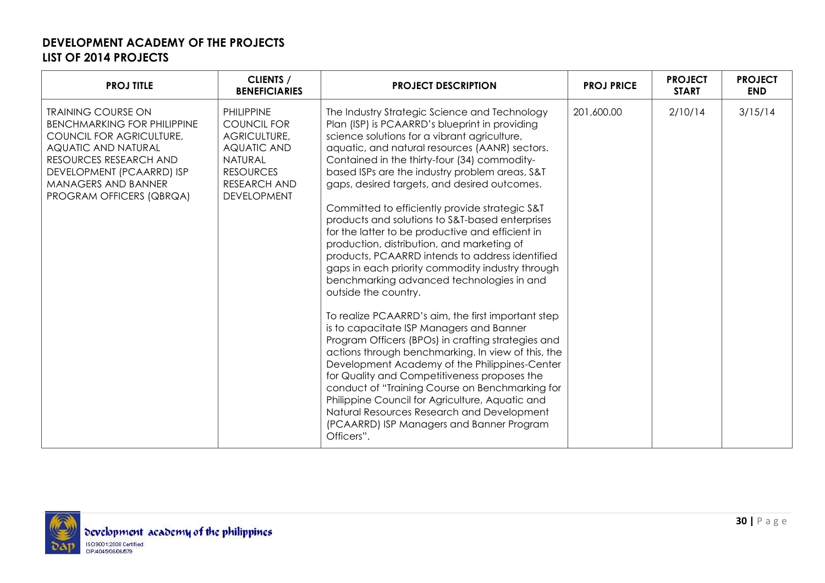| <b>PROJ TITLE</b>                                                                                                                                                                                                                          | <b>CLIENTS /</b><br><b>BENEFICIARIES</b>                                                                                                                         | <b>PROJECT DESCRIPTION</b>                                                                                                                                                                                                                                                                                                                                                                                                                                                                                                                                                                                                                                                                                                                                                                                                                                                                                                                                                                                                                                                                                                                                                                                                                                           | <b>PROJ PRICE</b> | <b>PROJECT</b><br><b>START</b> | <b>PROJECT</b><br><b>END</b> |
|--------------------------------------------------------------------------------------------------------------------------------------------------------------------------------------------------------------------------------------------|------------------------------------------------------------------------------------------------------------------------------------------------------------------|----------------------------------------------------------------------------------------------------------------------------------------------------------------------------------------------------------------------------------------------------------------------------------------------------------------------------------------------------------------------------------------------------------------------------------------------------------------------------------------------------------------------------------------------------------------------------------------------------------------------------------------------------------------------------------------------------------------------------------------------------------------------------------------------------------------------------------------------------------------------------------------------------------------------------------------------------------------------------------------------------------------------------------------------------------------------------------------------------------------------------------------------------------------------------------------------------------------------------------------------------------------------|-------------------|--------------------------------|------------------------------|
| <b>TRAINING COURSE ON</b><br><b>BENCHMARKING FOR PHILIPPINE</b><br>COUNCIL FOR AGRICULTURE,<br><b>AQUATIC AND NATURAL</b><br>RESOURCES RESEARCH AND<br>DEVELOPMENT (PCAARRD) ISP<br><b>MANAGERS AND BANNER</b><br>PROGRAM OFFICERS (QBRQA) | <b>PHILIPPINE</b><br><b>COUNCIL FOR</b><br>AGRICULTURE,<br><b>AQUATIC AND</b><br><b>NATURAL</b><br><b>RESOURCES</b><br><b>RESEARCH AND</b><br><b>DEVELOPMENT</b> | The Industry Strategic Science and Technology<br>Plan (ISP) is PCAARRD's blueprint in providing<br>science solutions for a vibrant agriculture,<br>aquatic, and natural resources (AANR) sectors.<br>Contained in the thirty-four (34) commodity-<br>based ISPs are the industry problem areas, S&T<br>gaps, desired targets, and desired outcomes.<br>Committed to efficiently provide strategic S&T<br>products and solutions to S&T-based enterprises<br>for the latter to be productive and efficient in<br>production, distribution, and marketing of<br>products, PCAARRD intends to address identified<br>gaps in each priority commodity industry through<br>benchmarking advanced technologies in and<br>outside the country.<br>To realize PCAARRD's aim, the first important step<br>is to capacitate ISP Managers and Banner<br>Program Officers (BPOs) in crafting strategies and<br>actions through benchmarking. In view of this, the<br>Development Academy of the Philippines-Center<br>for Quality and Competitiveness proposes the<br>conduct of "Training Course on Benchmarking for<br>Philippine Council for Agriculture, Aquatic and<br>Natural Resources Research and Development<br>(PCAARRD) ISP Managers and Banner Program<br>Officers". | 201,600.00        | 2/10/14                        | 3/15/14                      |

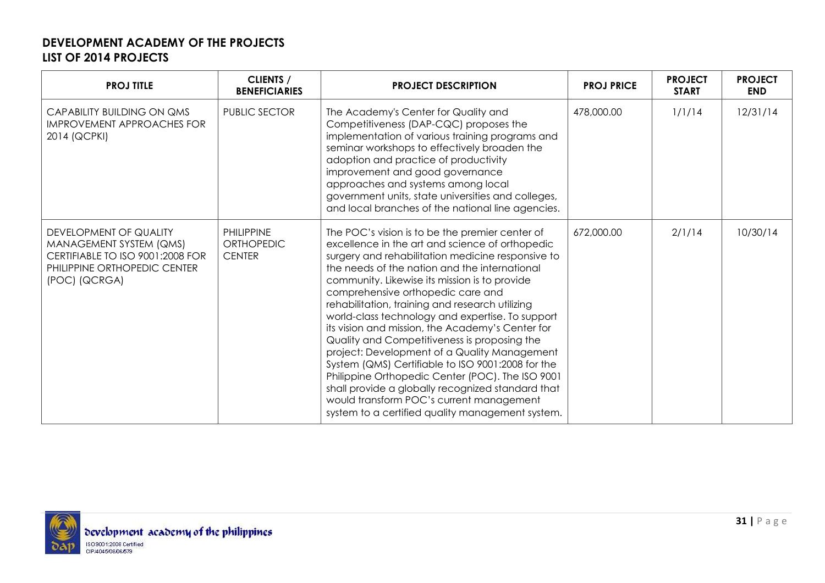| <b>PROJ TITLE</b>                                                                                                                      | <b>CLIENTS /</b><br><b>BENEFICIARIES</b>                | <b>PROJECT DESCRIPTION</b>                                                                                                                                                                                                                                                                                                                                                                                                                                                                                                                                                                                                                                                                                                                                                                                              | <b>PROJ PRICE</b> | <b>PROJECT</b><br><b>START</b> | <b>PROJECT</b><br><b>END</b> |
|----------------------------------------------------------------------------------------------------------------------------------------|---------------------------------------------------------|-------------------------------------------------------------------------------------------------------------------------------------------------------------------------------------------------------------------------------------------------------------------------------------------------------------------------------------------------------------------------------------------------------------------------------------------------------------------------------------------------------------------------------------------------------------------------------------------------------------------------------------------------------------------------------------------------------------------------------------------------------------------------------------------------------------------------|-------------------|--------------------------------|------------------------------|
| <b>CAPABILITY BUILDING ON QMS</b><br><b>IMPROVEMENT APPROACHES FOR</b><br>2014 (QCPKI)                                                 | <b>PUBLIC SECTOR</b>                                    | The Academy's Center for Quality and<br>Competitiveness (DAP-CQC) proposes the<br>implementation of various training programs and<br>seminar workshops to effectively broaden the<br>adoption and practice of productivity<br>improvement and good governance<br>approaches and systems among local<br>government units, state universities and colleges,<br>and local branches of the national line agencies.                                                                                                                                                                                                                                                                                                                                                                                                          | 478,000.00        | 1/1/14                         | 12/31/14                     |
| DEVELOPMENT OF QUALITY<br>MANAGEMENT SYSTEM (QMS)<br>CERTIFIABLE TO ISO 9001:2008 FOR<br>PHILIPPINE ORTHOPEDIC CENTER<br>(POC) (QCRGA) | <b>PHILIPPINE</b><br><b>ORTHOPEDIC</b><br><b>CENTER</b> | The POC's vision is to be the premier center of<br>excellence in the art and science of orthopedic<br>surgery and rehabilitation medicine responsive to<br>the needs of the nation and the international<br>community. Likewise its mission is to provide<br>comprehensive orthopedic care and<br>rehabilitation, training and research utilizing<br>world-class technology and expertise. To support<br>its vision and mission, the Academy's Center for<br>Quality and Competitiveness is proposing the<br>project: Development of a Quality Management<br>System (QMS) Certifiable to ISO 9001:2008 for the<br>Philippine Orthopedic Center (POC). The ISO 9001<br>shall provide a globally recognized standard that<br>would transform POC's current management<br>system to a certified quality management system. | 672,000.00        | 2/1/14                         | 10/30/14                     |